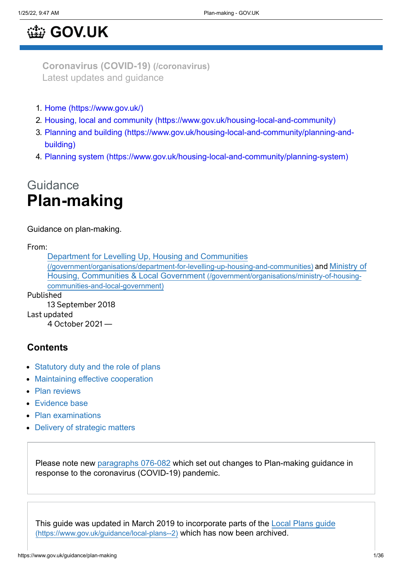# **[GOV.UK](https://www.gov.uk/)**

**[Coronavirus](https://www.gov.uk/coronavirus) (COVID-19) (/coronavirus)** Latest updates and guidance

- 1. [Home \(https://www.gov.uk/\)](https://www.gov.uk/)
- 2. [Housing, local and community \(https://www.gov.uk/housing-local-and-community\)](https://www.gov.uk/housing-local-and-community)
- 3. [Planning and building \(https://www.gov.uk/housing-local-and-community/planning-and](https://www.gov.uk/housing-local-and-community/planning-and-building)building)
- 4. [Planning system \(https://www.gov.uk/housing-local-and-community/planning-system\)](https://www.gov.uk/housing-local-and-community/planning-system)

# **Guidance Plan-making**

Guidance on plan-making.

From:

```
Department for Levelling Up, Housing and Communities
     (/government/organisations/department-for-levelling-up-housing-and-communities) and Ministry of
     Housing, Communities & Local Government (/government/organisations/ministry-of-housing-
     communities-and-local-government)
Published
```
13 September 2018 Last updated 4 October 2021 —

# **Contents**

- [Statutory duty and the role of plans](#page-1-0)
- [Maintaining effective cooperation](#page-4-0)
- [Plan reviews](#page-14-0)
- [Evidence base](#page-18-0)
- [Plan examinations](#page-25-0)
- [Delivery of strategic matters](#page-29-0)

Please note new [paragraphs 076-082](#page-31-0) which set out changes to Plan-making guidance in response to the coronavirus (COVID-19) pandemic.

[This guide was updated in March 2019 to incorporate parts of the Local Plans guide](https://www.gov.uk/guidance/local-plans--2) (https://www.gov.uk/guidance/local-plans--2) which has now been archived.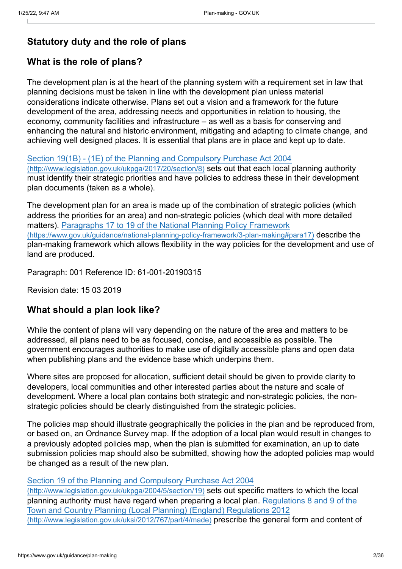# <span id="page-1-0"></span>**Statutory duty and the role of plans**

# **What is the role of plans?**

The development plan is at the heart of the planning system with a requirement set in law that planning decisions must be taken in line with the development plan unless material considerations indicate otherwise. Plans set out a vision and a framework for the future development of the area, addressing needs and opportunities in relation to housing, the economy, community facilities and infrastructure – as well as a basis for conserving and enhancing the natural and historic environment, mitigating and adapting to climate change, and achieving well designed places. It is essential that plans are in place and kept up to date.

#### [Section 19\(1B\) - \(1E\) of the Planning and Compulsory Purchase Act 2004](http://www.legislation.gov.uk/ukpga/2017/20/section/8)

(http://www.legislation.gov.uk/ukpga/2017/20/section/8) sets out that each local planning authority must identify their strategic priorities and have policies to address these in their development plan documents (taken as a whole).

The development plan for an area is made up of the combination of strategic policies (which address the priorities for an area) and non-strategic policies (which deal with more detailed [matters\). Paragraphs 17 to 19 of the National Planning Policy Framework](https://www.gov.uk/guidance/national-planning-policy-framework/3-plan-making#para17) (https://www.gov.uk/guidance/national-planning-policy-framework/3-plan-making#para17) describe the plan-making framework which allows flexibility in the way policies for the development and use of land are produced.

Paragraph: 001 Reference ID: 61-001-20190315

Revision date: 15 03 2019

# **What should a plan look like?**

While the content of plans will vary depending on the nature of the area and matters to be addressed, all plans need to be as focused, concise, and accessible as possible. The government encourages authorities to make use of digitally accessible plans and open data when publishing plans and the evidence base which underpins them.

Where sites are proposed for allocation, sufficient detail should be given to provide clarity to developers, local communities and other interested parties about the nature and scale of development. Where a local plan contains both strategic and non-strategic policies, the nonstrategic policies should be clearly distinguished from the strategic policies.

The policies map should illustrate geographically the policies in the plan and be reproduced from, or based on, an Ordnance Survey map. If the adoption of a local plan would result in changes to a previously adopted policies map, when the plan is submitted for examination, an up to date submission policies map should also be submitted, showing how the adopted policies map would be changed as a result of the new plan.

#### [Section 19 of the Planning and Compulsory Purchase Act 2004](http://www.legislation.gov.uk/ukpga/2004/5/section/19)

(http://www.legislation.gov.uk/ukpga/2004/5/section/19) sets out specific matters to which the local [planning authority must have regard when preparing a local plan. Regulations 8 and 9 of the](http://www.legislation.gov.uk/uksi/2012/767/part/4/made) Town and Country Planning (Local Planning) (England) Regulations 2012 (http://www.legislation.gov.uk/uksi/2012/767/part/4/made) prescribe the general form and content of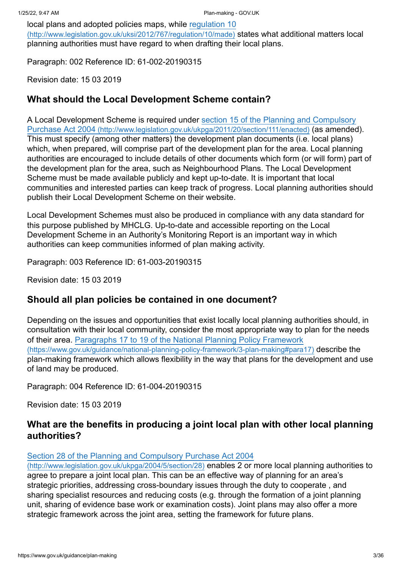[local plans and adopted policies maps, while regulation 10](http://www.legislation.gov.uk/uksi/2012/767/regulation/10/made) (http://www.legislation.gov.uk/uksi/2012/767/regulation/10/made) states what additional matters local planning authorities must have regard to when drafting their local plans.

Paragraph: 002 Reference ID: 61-002-20190315

Revision date: 15 03 2019

# **What should the Local Development Scheme contain?**

[A Local Development Scheme is required under section 15 of the Planning and Compulsory](http://www.legislation.gov.uk/ukpga/2011/20/section/111/enacted) Purchase Act 2004 (http://www.legislation.gov.uk/ukpga/2011/20/section/111/enacted) (as amended). This must specify (among other matters) the development plan documents (i.e. local plans) which, when prepared, will comprise part of the development plan for the area. Local planning authorities are encouraged to include details of other documents which form (or will form) part of the development plan for the area, such as Neighbourhood Plans. The Local Development Scheme must be made available publicly and kept up-to-date. It is important that local communities and interested parties can keep track of progress. Local planning authorities should publish their Local Development Scheme on their website.

Local Development Schemes must also be produced in compliance with any data standard for this purpose published by MHCLG. Up-to-date and accessible reporting on the Local Development Scheme in an Authority's Monitoring Report is an important way in which authorities can keep communities informed of plan making activity.

Paragraph: 003 Reference ID: 61-003-20190315

Revision date: 15 03 2019

# **Should all plan policies be contained in one document?**

Depending on the issues and opportunities that exist locally local planning authorities should, in consultation with their local community, consider the most appropriate way to plan for the needs [of their area. Paragraphs 17 to 19 of the National Planning Policy Framework](https://www.gov.uk/guidance/national-planning-policy-framework/3-plan-making#para17) (https://www.gov.uk/guidance/national-planning-policy-framework/3-plan-making#para17) describe the plan-making framework which allows flexibility in the way that plans for the development and use of land may be produced.

Paragraph: 004 Reference ID: 61-004-20190315

Revision date: 15 03 2019

# **What are the benefits in producing a joint local plan with other local planning authorities?**

[Section 28 of the Planning and Compulsory Purchase Act 2004](http://www.legislation.gov.uk/ukpga/2004/5/section/28)

(http://www.legislation.gov.uk/ukpga/2004/5/section/28) enables 2 or more local planning authorities to agree to prepare a joint local plan. This can be an effective way of planning for an area's strategic priorities, addressing cross-boundary issues through the duty to cooperate , and sharing specialist resources and reducing costs (e.g. through the formation of a joint planning unit, sharing of evidence base work or examination costs). Joint plans may also offer a more strategic framework across the joint area, setting the framework for future plans.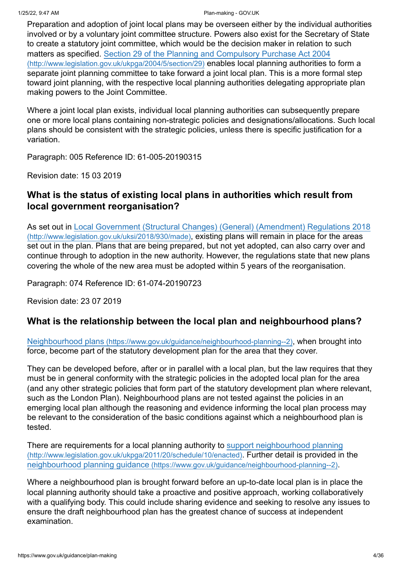Preparation and adoption of joint local plans may be overseen either by the individual authorities involved or by a voluntary joint committee structure. Powers also exist for the Secretary of State to create a statutory joint committee, which would be the decision maker in relation to such [matters as specified. Section 29 of the Planning and Compulsory Purchase Act 2004](http://www.legislation.gov.uk/ukpga/2004/5/section/29) (http://www.legislation.gov.uk/ukpga/2004/5/section/29) enables local planning authorities to form a separate joint planning committee to take forward a joint local plan. This is a more formal step toward joint planning, with the respective local planning authorities delegating appropriate plan making powers to the Joint Committee.

Where a joint local plan exists, individual local planning authorities can subsequently prepare one or more local plans containing non-strategic policies and designations/allocations. Such local plans should be consistent with the strategic policies, unless there is specific justification for a variation.

Paragraph: 005 Reference ID: 61-005-20190315

Revision date: 15 03 2019

# **What is the status of existing local plans in authorities which result from local government reorganisation?**

[As set out in Local Government \(Structural Changes\) \(General\) \(Amendment\) Regulations 2018](http://www.legislation.gov.uk/uksi/2018/930/made) (http://www.legislation.gov.uk/uksi/2018/930/made), existing plans will remain in place for the areas set out in the plan. Plans that are being prepared, but not yet adopted, can also carry over and continue through to adoption in the new authority. However, the regulations state that new plans covering the whole of the new area must be adopted within 5 years of the reorganisation.

Paragraph: 074 Reference ID: 61-074-20190723

Revision date: 23 07 2019

# **What is the relationship between the local plan and neighbourhood plans?**

Neighbourhood plans [\(https://www.gov.uk/guidance/neighbourhood-planning--2\)](https://www.gov.uk/guidance/neighbourhood-planning--2), when brought into force, become part of the statutory development plan for the area that they cover.

They can be developed before, after or in parallel with a local plan, but the law requires that they must be in general conformity with the strategic policies in the adopted local plan for the area (and any other strategic policies that form part of the statutory development plan where relevant, such as the London Plan). Neighbourhood plans are not tested against the policies in an emerging local plan although the reasoning and evidence informing the local plan process may be relevant to the consideration of the basic conditions against which a neighbourhood plan is tested.

[There are requirements for a local planning authority to support neighbourhood planning](http://www.legislation.gov.uk/ukpga/2011/20/schedule/10/enacted) (http://www.legislation.gov.uk/ukpga/2011/20/schedule/10/enacted). Further detail is provided in the neighbourhood planning guidance [\(https://www.gov.uk/guidance/neighbourhood-planning--2\)](https://www.gov.uk/guidance/neighbourhood-planning--2).

Where a neighbourhood plan is brought forward before an up-to-date local plan is in place the local planning authority should take a proactive and positive approach, working collaboratively with a qualifying body. This could include sharing evidence and seeking to resolve any issues to ensure the draft neighbourhood plan has the greatest chance of success at independent examination.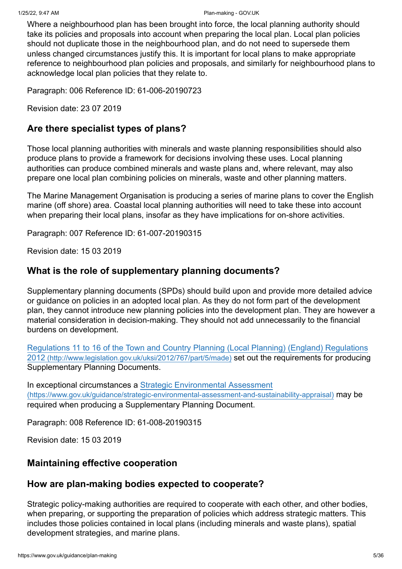Where a neighbourhood plan has been brought into force, the local planning authority should take its policies and proposals into account when preparing the local plan. Local plan policies should not duplicate those in the neighbourhood plan, and do not need to supersede them unless changed circumstances justify this. It is important for local plans to make appropriate reference to neighbourhood plan policies and proposals, and similarly for neighbourhood plans to acknowledge local plan policies that they relate to.

Paragraph: 006 Reference ID: 61-006-20190723

Revision date: 23 07 2019

# **Are there specialist types of plans?**

Those local planning authorities with minerals and waste planning responsibilities should also produce plans to provide a framework for decisions involving these uses. Local planning authorities can produce combined minerals and waste plans and, where relevant, may also prepare one local plan combining policies on minerals, waste and other planning matters.

The Marine Management Organisation is producing a series of marine plans to cover the English marine (off shore) area. Coastal local planning authorities will need to take these into account when preparing their local plans, insofar as they have implications for on-shore activities.

Paragraph: 007 Reference ID: 61-007-20190315

Revision date: 15 03 2019

# **What is the role of supplementary planning documents?**

Supplementary planning documents (SPDs) should build upon and provide more detailed advice or guidance on policies in an adopted local plan. As they do not form part of the development plan, they cannot introduce new planning policies into the development plan. They are however a material consideration in decision-making. They should not add unnecessarily to the financial burdens on development.

[Regulations 11 to 16 of the Town and Country Planning \(Local Planning\) \(England\) Regulations](http://www.legislation.gov.uk/uksi/2012/767/part/5/made) 2012 (http://www.legislation.gov.uk/uksi/2012/767/part/5/made) set out the requirements for producing Supplementary Planning Documents.

In exceptional circumstances a Strategic Environmental Assessment [\(https://www.gov.uk/guidance/strategic-environmental-assessment-and-sustainability-appraisal\)](https://www.gov.uk/guidance/strategic-environmental-assessment-and-sustainability-appraisal) may be required when producing a Supplementary Planning Document.

Paragraph: 008 Reference ID: 61-008-20190315

Revision date: 15 03 2019

#### <span id="page-4-0"></span>**Maintaining effective cooperation**

# **How are plan-making bodies expected to cooperate?**

Strategic policy-making authorities are required to cooperate with each other, and other bodies, when preparing, or supporting the preparation of policies which address strategic matters. This includes those policies contained in local plans (including minerals and waste plans), spatial development strategies, and marine plans.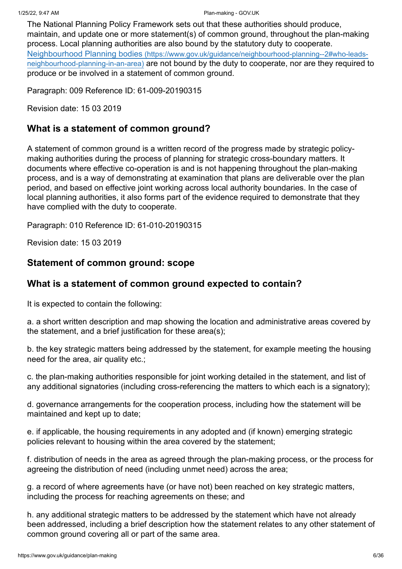The National Planning Policy Framework sets out that these authorities should produce, maintain, and update one or more statement(s) of common ground, throughout the plan-making process. Local planning authorities are also bound by the statutory duty to cooperate. Neighbourhood Planning bodies (https://www.gov.uk/guidance/neighbourhood-planning--2#who-leadsneighbourhood-planning-in-an-area) [are not bound by the duty to cooperate, nor are they required t](https://www.gov.uk/guidance/neighbourhood-planning--2#who-leads-neighbourhood-planning-in-an-area)o produce or be involved in a statement of common ground.

Paragraph: 009 Reference ID: 61-009-20190315

Revision date: 15 03 2019

#### **What is a statement of common ground?**

A statement of common ground is a written record of the progress made by strategic policymaking authorities during the process of planning for strategic cross-boundary matters. It documents where effective co-operation is and is not happening throughout the plan-making process, and is a way of demonstrating at examination that plans are deliverable over the plan period, and based on effective joint working across local authority boundaries. In the case of local planning authorities, it also forms part of the evidence required to demonstrate that they have complied with the duty to cooperate.

Paragraph: 010 Reference ID: 61-010-20190315

Revision date: 15 03 2019

#### **Statement of common ground: scope**

#### **What is a statement of common ground expected to contain?**

It is expected to contain the following:

a. a short written description and map showing the location and administrative areas covered by the statement, and a brief justification for these area(s);

b. the key strategic matters being addressed by the statement, for example meeting the housing need for the area, air quality etc.;

c. the plan-making authorities responsible for joint working detailed in the statement, and list of any additional signatories (including cross-referencing the matters to which each is a signatory);

d. governance arrangements for the cooperation process, including how the statement will be maintained and kept up to date;

e. if applicable, the housing requirements in any adopted and (if known) emerging strategic policies relevant to housing within the area covered by the statement;

f. distribution of needs in the area as agreed through the plan-making process, or the process for agreeing the distribution of need (including unmet need) across the area;

g. a record of where agreements have (or have not) been reached on key strategic matters, including the process for reaching agreements on these; and

h. any additional strategic matters to be addressed by the statement which have not already been addressed, including a brief description how the statement relates to any other statement of common ground covering all or part of the same area.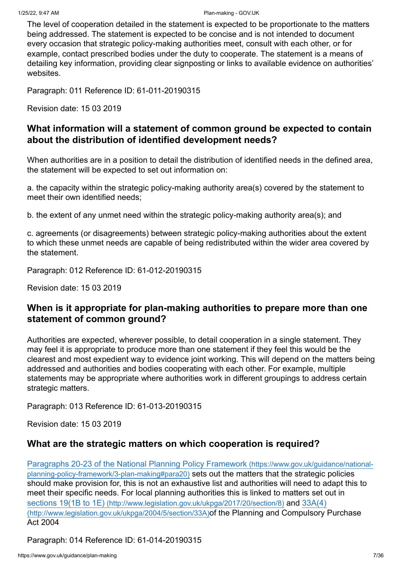The level of cooperation detailed in the statement is expected to be proportionate to the matters being addressed. The statement is expected to be concise and is not intended to document every occasion that strategic policy-making authorities meet, consult with each other, or for example, contact prescribed bodies under the duty to cooperate. The statement is a means of detailing key information, providing clear signposting or links to available evidence on authorities' websites.

Paragraph: 011 Reference ID: 61-011-20190315

Revision date: 15 03 2019

### **What information will a statement of common ground be expected to contain about the distribution of identified development needs?**

When authorities are in a position to detail the distribution of identified needs in the defined area, the statement will be expected to set out information on:

a. the capacity within the strategic policy-making authority area(s) covered by the statement to meet their own identified needs;

b. the extent of any unmet need within the strategic policy-making authority area(s); and

c. agreements (or disagreements) between strategic policy-making authorities about the extent to which these unmet needs are capable of being redistributed within the wider area covered by the statement.

Paragraph: 012 Reference ID: 61-012-20190315

Revision date: 15 03 2019

#### **When is it appropriate for plan-making authorities to prepare more than one statement of common ground?**

Authorities are expected, wherever possible, to detail cooperation in a single statement. They may feel it is appropriate to produce more than one statement if they feel this would be the clearest and most expedient way to evidence joint working. This will depend on the matters being addressed and authorities and bodies cooperating with each other. For example, multiple statements may be appropriate where authorities work in different groupings to address certain strategic matters.

Paragraph: 013 Reference ID: 61-013-20190315

Revision date: 15 03 2019

#### **What are the strategic matters on which cooperation is required?**

[Paragraphs 20-23 of the National Planning Policy Framework](https://www.gov.uk/guidance/national-planning-policy-framework/3-plan-making#para20) (https://www.gov.uk/guidance/nationalplanning-policy-framework/3-plan-making#para20) sets out the matters that the strategic policies should make provision for, this is not an exhaustive list and authorities will need to adapt this to meet their specific needs. For local planning authorities this is linked to matters set out in sections 19(1B to 1E) [\(http://www.legislation.gov.uk/ukpga/2017/20/section/8\)](http://www.legislation.gov.uk/ukpga/2017/20/section/8) and 33A(4) [\(http://www.legislation.gov.uk/ukpga/2004/5/section/33A\)](http://www.legislation.gov.uk/ukpga/2004/5/section/33A)of the Planning and Compulsory Purchase Act 2004

Paragraph: 014 Reference ID: 61-014-20190315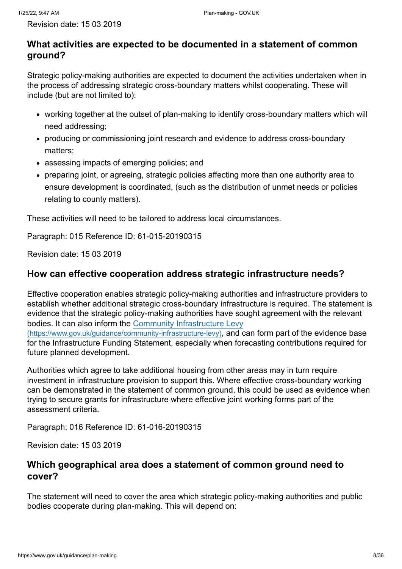# **What activities are expected to be documented in a statement of common ground?**

Strategic policy-making authorities are expected to document the activities undertaken when in the process of addressing strategic cross-boundary matters whilst cooperating. These will include (but are not limited to):

- working together at the outset of plan-making to identify cross-boundary matters which will need addressing;
- producing or commissioning joint research and evidence to address cross-boundary matters;
- assessing impacts of emerging policies; and
- preparing joint, or agreeing, strategic policies affecting more than one authority area to ensure development is coordinated, (such as the distribution of unmet needs or policies relating to county matters).

These activities will need to be tailored to address local circumstances.

Paragraph: 015 Reference ID: 61-015-20190315

Revision date: 15 03 2019

# **How can effective cooperation address strategic infrastructure needs?**

Effective cooperation enables strategic policy-making authorities and infrastructure providers to establish whether additional strategic cross-boundary infrastructure is required. The statement is evidence that the strategic policy-making authorities have sought agreement with the relevant [bodies. It can also inform the Community Infrastructure Levy](https://www.gov.uk/guidance/community-infrastructure-levy) (https://www.gov.uk/guidance/community-infrastructure-levy), and can form part of the evidence base for the Infrastructure Funding Statement, especially when forecasting contributions required for future planned development.

Authorities which agree to take additional housing from other areas may in turn require investment in infrastructure provision to support this. Where effective cross-boundary working can be demonstrated in the statement of common ground, this could be used as evidence when trying to secure grants for infrastructure where effective joint working forms part of the assessment criteria.

Paragraph: 016 Reference ID: 61-016-20190315

Revision date: 15 03 2019

# **Which geographical area does a statement of common ground need to cover?**

The statement will need to cover the area which strategic policy-making authorities and public bodies cooperate during plan-making. This will depend on: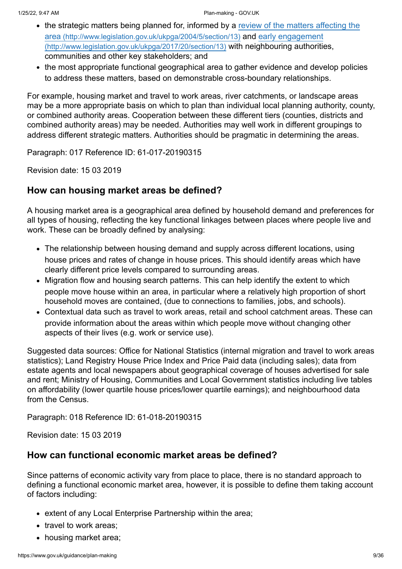- [the strategic matters being planned for, informed by a review of the matters affecting the](http://www.legislation.gov.uk/ukpga/2004/5/section/13) area (http://www.legislation.gov.uk/ukpga/2004/5/section/13) and early engagement [\(http://www.legislation.gov.uk/ukpga/2017/20/section/13\)](http://www.legislation.gov.uk/ukpga/2017/20/section/13) with neighbouring authorities, communities and other key stakeholders; and
- the most appropriate functional geographical area to gather evidence and develop policies to address these matters, based on demonstrable cross-boundary relationships.

For example, housing market and travel to work areas, river catchments, or landscape areas may be a more appropriate basis on which to plan than individual local planning authority, county, or combined authority areas. Cooperation between these different tiers (counties, districts and combined authority areas) may be needed. Authorities may well work in different groupings to address different strategic matters. Authorities should be pragmatic in determining the areas.

Paragraph: 017 Reference ID: 61-017-20190315

Revision date: 15 03 2019

#### **How can housing market areas be defined?**

A housing market area is a geographical area defined by household demand and preferences for all types of housing, reflecting the key functional linkages between places where people live and work. These can be broadly defined by analysing:

- The relationship between housing demand and supply across different locations, using house prices and rates of change in house prices. This should identify areas which have clearly different price levels compared to surrounding areas.
- Migration flow and housing search patterns. This can help identify the extent to which people move house within an area, in particular where a relatively high proportion of short household moves are contained, (due to connections to families, jobs, and schools).
- Contextual data such as travel to work areas, retail and school catchment areas. These can provide information about the areas within which people move without changing other aspects of their lives (e.g. work or service use).

Suggested data sources: Office for National Statistics (internal migration and travel to work areas statistics); Land Registry House Price Index and Price Paid data (including sales); data from estate agents and local newspapers about geographical coverage of houses advertised for sale and rent; Ministry of Housing, Communities and Local Government statistics including live tables on affordability (lower quartile house prices/lower quartile earnings); and neighbourhood data from the Census.

Paragraph: 018 Reference ID: 61-018-20190315

Revision date: 15 03 2019

#### **How can functional economic market areas be defined?**

Since patterns of economic activity vary from place to place, there is no standard approach to defining a functional economic market area, however, it is possible to define them taking account of factors including:

- extent of any Local Enterprise Partnership within the area;
- travel to work areas;
- housing market area;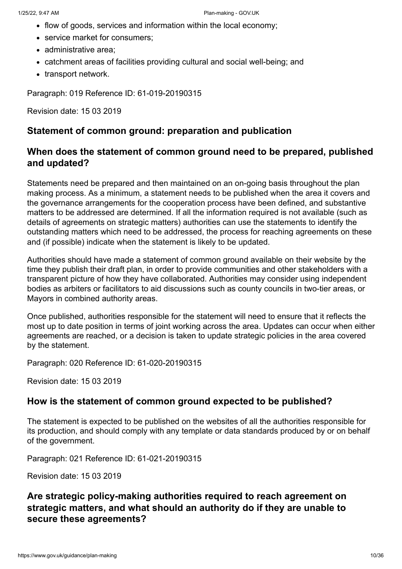- flow of goods, services and information within the local economy;
- service market for consumers:
- administrative area:
- catchment areas of facilities providing cultural and social well-being; and
- transport network.

Paragraph: 019 Reference ID: 61-019-20190315

Revision date: 15 03 2019

# **Statement of common ground: preparation and publication**

# **When does the statement of common ground need to be prepared, published and updated?**

Statements need be prepared and then maintained on an on-going basis throughout the plan making process. As a minimum, a statement needs to be published when the area it covers and the governance arrangements for the cooperation process have been defined, and substantive matters to be addressed are determined. If all the information required is not available (such as details of agreements on strategic matters) authorities can use the statements to identify the outstanding matters which need to be addressed, the process for reaching agreements on these and (if possible) indicate when the statement is likely to be updated.

Authorities should have made a statement of common ground available on their website by the time they publish their draft plan, in order to provide communities and other stakeholders with a transparent picture of how they have collaborated. Authorities may consider using independent bodies as arbiters or facilitators to aid discussions such as county councils in two-tier areas, or Mayors in combined authority areas.

Once published, authorities responsible for the statement will need to ensure that it reflects the most up to date position in terms of joint working across the area. Updates can occur when either agreements are reached, or a decision is taken to update strategic policies in the area covered by the statement.

Paragraph: 020 Reference ID: 61-020-20190315

Revision date: 15 03 2019

# **How is the statement of common ground expected to be published?**

The statement is expected to be published on the websites of all the authorities responsible for its production, and should comply with any template or data standards produced by or on behalf of the government.

Paragraph: 021 Reference ID: 61-021-20190315

Revision date: 15 03 2019

# **Are strategic policy-making authorities required to reach agreement on strategic matters, and what should an authority do if they are unable to secure these agreements?**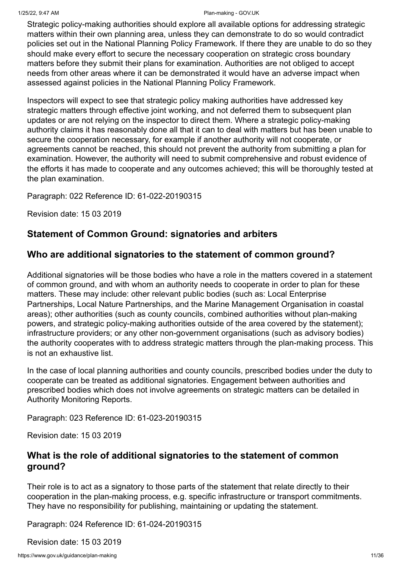#### 1/25/22, 9:47 AM Plan-making - GOV.UK

Strategic policy-making authorities should explore all available options for addressing strategic matters within their own planning area, unless they can demonstrate to do so would contradict policies set out in the National Planning Policy Framework. If there they are unable to do so they should make every effort to secure the necessary cooperation on strategic cross boundary matters before they submit their plans for examination. Authorities are not obliged to accept needs from other areas where it can be demonstrated it would have an adverse impact when assessed against policies in the National Planning Policy Framework.

Inspectors will expect to see that strategic policy making authorities have addressed key strategic matters through effective joint working, and not deferred them to subsequent plan updates or are not relying on the inspector to direct them. Where a strategic policy-making authority claims it has reasonably done all that it can to deal with matters but has been unable to secure the cooperation necessary, for example if another authority will not cooperate, or agreements cannot be reached, this should not prevent the authority from submitting a plan for examination. However, the authority will need to submit comprehensive and robust evidence of the efforts it has made to cooperate and any outcomes achieved; this will be thoroughly tested at the plan examination.

Paragraph: 022 Reference ID: 61-022-20190315

Revision date: 15 03 2019

# **Statement of Common Ground: signatories and arbiters**

#### **Who are additional signatories to the statement of common ground?**

Additional signatories will be those bodies who have a role in the matters covered in a statement of common ground, and with whom an authority needs to cooperate in order to plan for these matters. These may include: other relevant public bodies (such as: Local Enterprise Partnerships, Local Nature Partnerships, and the Marine Management Organisation in coastal areas); other authorities (such as county councils, combined authorities without plan-making powers, and strategic policy-making authorities outside of the area covered by the statement); infrastructure providers; or any other non-government organisations (such as advisory bodies) the authority cooperates with to address strategic matters through the plan-making process. This is not an exhaustive list.

In the case of local planning authorities and county councils, prescribed bodies under the duty to cooperate can be treated as additional signatories. Engagement between authorities and prescribed bodies which does not involve agreements on strategic matters can be detailed in Authority Monitoring Reports.

Paragraph: 023 Reference ID: 61-023-20190315

Revision date: 15 03 2019

# **What is the role of additional signatories to the statement of common ground?**

Their role is to act as a signatory to those parts of the statement that relate directly to their cooperation in the plan-making process, e.g. specific infrastructure or transport commitments. They have no responsibility for publishing, maintaining or updating the statement.

Paragraph: 024 Reference ID: 61-024-20190315

Revision date: 15 03 2019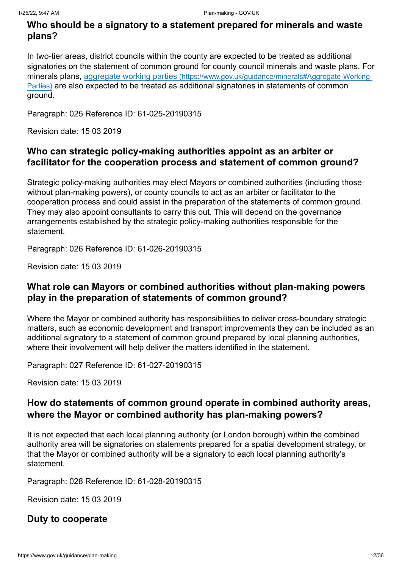# **Who should be a signatory to a statement prepared for minerals and waste plans?**

In two-tier areas, district councils within the county are expected to be treated as additional signatories on the statement of common ground for county council minerals and waste plans. For minerals plans, aggregate working parties (https://www.gov.uk/guidance/minerals#Aggregate-Working-Parties) [are also expected to be treated as additional signatories in statements of common](https://www.gov.uk/guidance/minerals#Aggregate-Working-Parties) ground.

Paragraph: 025 Reference ID: 61-025-20190315

Revision date: 15 03 2019

# **Who can strategic policy-making authorities appoint as an arbiter or facilitator for the cooperation process and statement of common ground?**

Strategic policy-making authorities may elect Mayors or combined authorities (including those without plan-making powers), or county councils to act as an arbiter or facilitator to the cooperation process and could assist in the preparation of the statements of common ground. They may also appoint consultants to carry this out. This will depend on the governance arrangements established by the strategic policy-making authorities responsible for the statement.

Paragraph: 026 Reference ID: 61-026-20190315

Revision date: 15 03 2019

# **What role can Mayors or combined authorities without plan-making powers play in the preparation of statements of common ground?**

Where the Mayor or combined authority has responsibilities to deliver cross-boundary strategic matters, such as economic development and transport improvements they can be included as an additional signatory to a statement of common ground prepared by local planning authorities, where their involvement will help deliver the matters identified in the statement.

Paragraph: 027 Reference ID: 61-027-20190315

Revision date: 15 03 2019

# **How do statements of common ground operate in combined authority areas, where the Mayor or combined authority has plan-making powers?**

It is not expected that each local planning authority (or London borough) within the combined authority area will be signatories on statements prepared for a spatial development strategy, or that the Mayor or combined authority will be a signatory to each local planning authority's statement.

Paragraph: 028 Reference ID: 61-028-20190315

Revision date: 15 03 2019

#### **Duty to cooperate**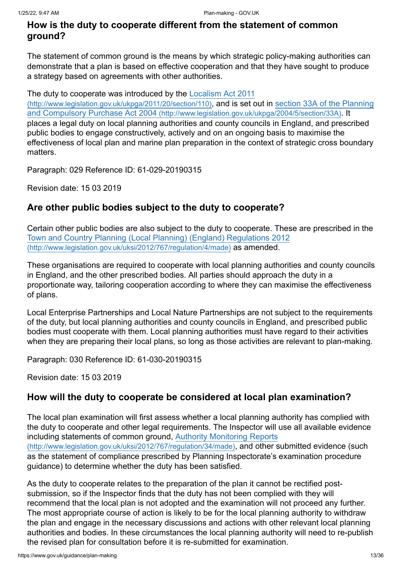# **How is the duty to cooperate different from the statement of common ground?**

The statement of common ground is the means by which strategic policy-making authorities can demonstrate that a plan is based on effective cooperation and that they have sought to produce a strategy based on agreements with other authorities.

[The duty to cooperate was introduced by the Localism Act 2011](http://www.legislation.gov.uk/ukpga/2011/20/section/110)

[\(http://www.legislation.gov.uk/ukpga/2011/20/section/110\)](http://www.legislation.gov.uk/ukpga/2004/5/section/33A), and is set out in section 33A of the Planning and Compulsory Purchase Act 2004 (http://www.legislation.gov.uk/ukpga/2004/5/section/33A). It places a legal duty on local planning authorities and county councils in England, and prescribed public bodies to engage constructively, actively and on an ongoing basis to maximise the effectiveness of local plan and marine plan preparation in the context of strategic cross boundary matters.

Paragraph: 029 Reference ID: 61-029-20190315

Revision date: 15 03 2019

# **Are other public bodies subject to the duty to cooperate?**

Certain other public bodies are also subject to the duty to cooperate. These are prescribed in the [Town and Country Planning \(Local Planning\) \(England\) Regulations 2012](http://www.legislation.gov.uk/uksi/2012/767/regulation/4/made) (http://www.legislation.gov.uk/uksi/2012/767/regulation/4/made) as amended.

These organisations are required to cooperate with local planning authorities and county councils in England, and the other prescribed bodies. All parties should approach the duty in a proportionate way, tailoring cooperation according to where they can maximise the effectiveness of plans.

Local Enterprise Partnerships and Local Nature Partnerships are not subject to the requirements of the duty, but local planning authorities and county councils in England, and prescribed public bodies must cooperate with them. Local planning authorities must have regard to their activities when they are preparing their local plans, so long as those activities are relevant to plan-making.

Paragraph: 030 Reference ID: 61-030-20190315

Revision date: 15 03 2019

# **How will the duty to cooperate be considered at local plan examination?**

The local plan examination will first assess whether a local planning authority has complied with the duty to cooperate and other legal requirements. The Inspector will use all available evidence [including statements of common ground, Authority Monitoring Reports](http://www.legislation.gov.uk/uksi/2012/767/regulation/34/made) (http://www.legislation.gov.uk/uksi/2012/767/regulation/34/made), and other submitted evidence (such as the statement of compliance prescribed by Planning Inspectorate's examination procedure guidance) to determine whether the duty has been satisfied.

As the duty to cooperate relates to the preparation of the plan it cannot be rectified postsubmission, so if the Inspector finds that the duty has not been complied with they will recommend that the local plan is not adopted and the examination will not proceed any further. The most appropriate course of action is likely to be for the local planning authority to withdraw the plan and engage in the necessary discussions and actions with other relevant local planning authorities and bodies. In these circumstances the local planning authority will need to re-publish the revised plan for consultation before it is re-submitted for examination.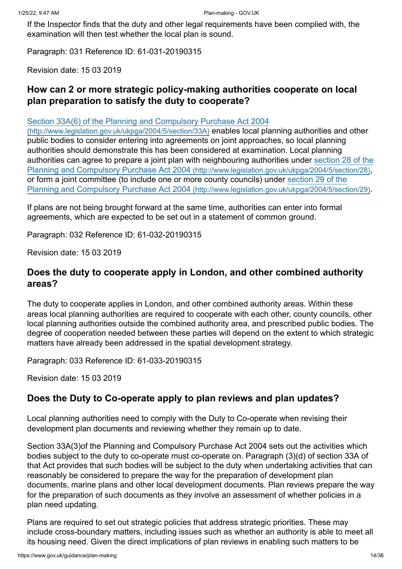If the Inspector finds that the duty and other legal requirements have been complied with, the examination will then test whether the local plan is sound.

Paragraph: 031 Reference ID: 61-031-20190315

Revision date: 15 03 2019

# **How can 2 or more strategic policy-making authorities cooperate on local plan preparation to satisfy the duty to cooperate?**

[Section 33A\(6\) of the Planning and Compulsory Purchase Act 2004](http://www.legislation.gov.uk/ukpga/2004/5/section/33A)

(http://www.legislation.gov.uk/ukpga/2004/5/section/33A) enables local planning authorities and other public bodies to consider entering into agreements on joint approaches, so local planning authorities should demonstrate this has been considered at examination. Local planning [authorities can agree to prepare a joint plan with neighbouring authorities under section 28 of the](http://www.legislation.gov.uk/ukpga/2004/5/section/28) Planning and Compulsory Purchase Act 2004 (http://www.legislation.gov.uk/ukpga/2004/5/section/28), [or form a joint committee \(to include one or more county councils\) under section 29 of the](http://www.legislation.gov.uk/ukpga/2004/5/section/29) Planning and Compulsory Purchase Act 2004 (http://www.legislation.gov.uk/ukpga/2004/5/section/29).

If plans are not being brought forward at the same time, authorities can enter into formal agreements, which are expected to be set out in a statement of common ground.

Paragraph: 032 Reference ID: 61-032-20190315

Revision date: 15 03 2019

# **Does the duty to cooperate apply in London, and other combined authority areas?**

The duty to cooperate applies in London, and other combined authority areas. Within these areas local planning authorities are required to cooperate with each other, county councils, other local planning authorities outside the combined authority area, and prescribed public bodies. The degree of cooperation needed between these parties will depend on the extent to which strategic matters have already been addressed in the spatial development strategy.

Paragraph: 033 Reference ID: 61-033-20190315

Revision date: 15 03 2019

# **Does the Duty to Co-operate apply to plan reviews and plan updates?**

Local planning authorities need to comply with the Duty to Co-operate when revising their development plan documents and reviewing whether they remain up to date.

Section 33A(3)of the Planning and Compulsory Purchase Act 2004 sets out the activities which bodies subject to the duty to co-operate must co-operate on. Paragraph (3)(d) of section 33A of that Act provides that such bodies will be subject to the duty when undertaking activities that can reasonably be considered to prepare the way for the preparation of development plan documents, marine plans and other local development documents. Plan reviews prepare the way for the preparation of such documents as they involve an assessment of whether policies in a plan need updating.

Plans are required to set out strategic policies that address strategic priorities. These may include cross-boundary matters, including issues such as whether an authority is able to meet all its housing need. Given the direct implications of plan reviews in enabling such matters to be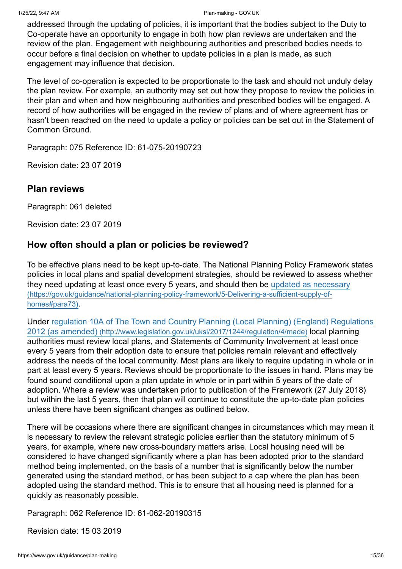addressed through the updating of policies, it is important that the bodies subject to the Duty to Co-operate have an opportunity to engage in both how plan reviews are undertaken and the review of the plan. Engagement with neighbouring authorities and prescribed bodies needs to occur before a final decision on whether to update policies in a plan is made, as such engagement may influence that decision.

The level of co-operation is expected to be proportionate to the task and should not unduly delay the plan review. For example, an authority may set out how they propose to review the policies in their plan and when and how neighbouring authorities and prescribed bodies will be engaged. A record of how authorities will be engaged in the review of plans and of where agreement has or hasn't been reached on the need to update a policy or policies can be set out in the Statement of Common Ground.

Paragraph: 075 Reference ID: 61-075-20190723

Revision date: 23 07 2019

#### <span id="page-14-0"></span>**Plan reviews**

Paragraph: 061 deleted

Revision date: 23 07 2019

#### **How often should a plan or policies be reviewed?**

To be effective plans need to be kept up-to-date. The National Planning Policy Framework states policies in local plans and spatial development strategies, should be reviewed to assess whether [they need updating at least once every 5 years, and should then be updated as necessary](https://gov.uk/guidance/national-planning-policy-framework/5-Delivering-a-sufficient-supply-of-homes#para73) (https://gov.uk/guidance/national-planning-policy-framework/5-Delivering-a-sufficient-supply-ofhomes#para73).

[Under regulation 10A of The Town and Country Planning \(Local Planning\) \(England\) Regulations](http://www.legislation.gov.uk/uksi/2017/1244/regulation/4/made) 2012 (as amended) (http://www.legislation.gov.uk/uksi/2017/1244/regulation/4/made) local planning authorities must review local plans, and Statements of Community Involvement at least once every 5 years from their adoption date to ensure that policies remain relevant and effectively address the needs of the local community. Most plans are likely to require updating in whole or in part at least every 5 years. Reviews should be proportionate to the issues in hand. Plans may be found sound conditional upon a plan update in whole or in part within 5 years of the date of adoption. Where a review was undertaken prior to publication of the Framework (27 July 2018) but within the last 5 years, then that plan will continue to constitute the up-to-date plan policies unless there have been significant changes as outlined below.

There will be occasions where there are significant changes in circumstances which may mean it is necessary to review the relevant strategic policies earlier than the statutory minimum of 5 years, for example, where new cross-boundary matters arise. Local housing need will be considered to have changed significantly where a plan has been adopted prior to the standard method being implemented, on the basis of a number that is significantly below the number generated using the standard method, or has been subject to a cap where the plan has been adopted using the standard method. This is to ensure that all housing need is planned for a quickly as reasonably possible.

Paragraph: 062 Reference ID: 61-062-20190315

Revision date: 15 03 2019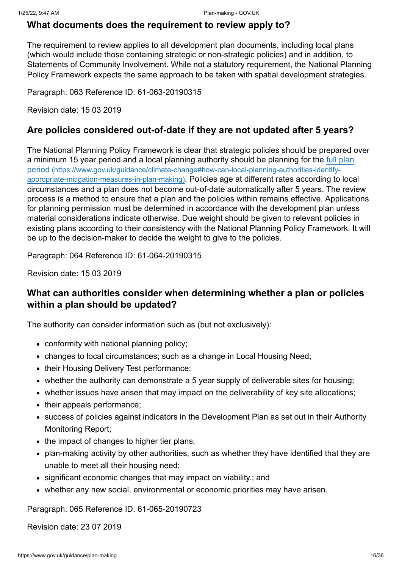#### **What documents does the requirement to review apply to?**

The requirement to review applies to all development plan documents, including local plans (which would include those containing strategic or non-strategic policies) and in addition, to Statements of Community Involvement. While not a statutory requirement, the National Planning Policy Framework expects the same approach to be taken with spatial development strategies.

Paragraph: 063 Reference ID: 61-063-20190315

Revision date: 15 03 2019

# **Are policies considered out-of-date if they are not updated after 5 years?**

The National Planning Policy Framework is clear that strategic policies should be prepared over [a minimum 15 year period and a local planning authority should be planning for the full plan](https://www.gov.uk/guidance/climate-change#how-can-local-planning-authorities-identify-appropriate-mitigation-measures-in-plan-making) period (https://www.gov.uk/guidance/climate-change#how-can-local-planning-authorities-identifyappropriate-mitigation-measures-in-plan-making). Policies age at different rates according to local circumstances and a plan does not become out-of-date automatically after 5 years. The review process is a method to ensure that a plan and the policies within remains effective. Applications for planning permission must be determined in accordance with the development plan unless material considerations indicate otherwise. Due weight should be given to relevant policies in existing plans according to their consistency with the National Planning Policy Framework. It will be up to the decision-maker to decide the weight to give to the policies.

Paragraph: 064 Reference ID: 61-064-20190315

Revision date: 15 03 2019

# **What can authorities consider when determining whether a plan or policies within a plan should be updated?**

The authority can consider information such as (but not exclusively):

- conformity with national planning policy;
- changes to local circumstances; such as a change in Local Housing Need;
- their Housing Delivery Test performance:
- whether the authority can demonstrate a 5 year supply of deliverable sites for housing;
- whether issues have arisen that may impact on the deliverability of key site allocations;
- their appeals performance;
- success of policies against indicators in the Development Plan as set out in their Authority Monitoring Report;
- the impact of changes to higher tier plans:
- plan-making activity by other authorities, such as whether they have identified that they are unable to meet all their housing need;
- significant economic changes that may impact on viability.; and
- whether any new social, environmental or economic priorities may have arisen.

Paragraph: 065 Reference ID: 61-065-20190723

Revision date: 23 07 2019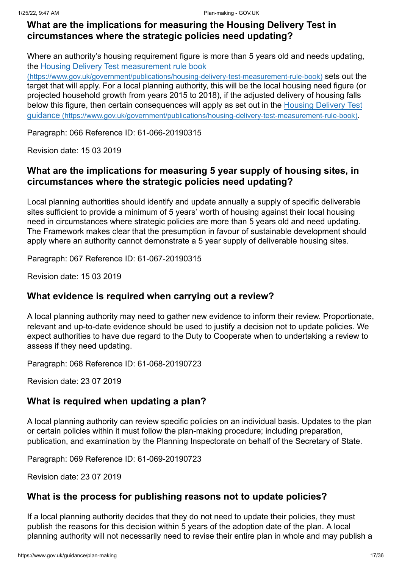# **What are the implications for measuring the Housing Delivery Test in circumstances where the strategic policies need updating?**

Where an authority's housing requirement figure is more than 5 years old and needs updating, the Housing Delivery Test measurement rule book

[\(https://www.gov.uk/government/publications/housing-delivery-test-measurement-rule-book\)](https://www.gov.uk/government/publications/housing-delivery-test-measurement-rule-book) sets out the target that will apply. For a local planning authority, this will be the local housing need figure (or projected household growth from years 2015 to 2018), if the adjusted delivery of housing falls [below this figure, then certain consequences will apply as set out in the Housing Delivery Test](https://www.gov.uk/government/publications/housing-delivery-test-measurement-rule-book) guidance (https://www.gov.uk/government/publications/housing-delivery-test-measurement-rule-book).

Paragraph: 066 Reference ID: 61-066-20190315

Revision date: 15 03 2019

# **What are the implications for measuring 5 year supply of housing sites, in circumstances where the strategic policies need updating?**

Local planning authorities should identify and update annually a supply of specific deliverable sites sufficient to provide a minimum of 5 years' worth of housing against their local housing need in circumstances where strategic policies are more than 5 years old and need updating. The Framework makes clear that the presumption in favour of sustainable development should apply where an authority cannot demonstrate a 5 year supply of deliverable housing sites.

Paragraph: 067 Reference ID: 61-067-20190315

Revision date: 15 03 2019

# **What evidence is required when carrying out a review?**

A local planning authority may need to gather new evidence to inform their review. Proportionate, relevant and up-to-date evidence should be used to justify a decision not to update policies. We expect authorities to have due regard to the Duty to Cooperate when to undertaking a review to assess if they need updating.

Paragraph: 068 Reference ID: 61-068-20190723

Revision date: 23 07 2019

# **What is required when updating a plan?**

A local planning authority can review specific policies on an individual basis. Updates to the plan or certain policies within it must follow the plan-making procedure; including preparation, publication, and examination by the Planning Inspectorate on behalf of the Secretary of State.

Paragraph: 069 Reference ID: 61-069-20190723

Revision date: 23 07 2019

# **What is the process for publishing reasons not to update policies?**

If a local planning authority decides that they do not need to update their policies, they must publish the reasons for this decision within 5 years of the adoption date of the plan. A local planning authority will not necessarily need to revise their entire plan in whole and may publish a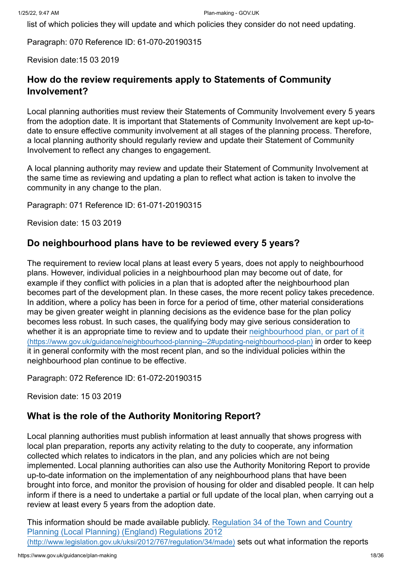list of which policies they will update and which policies they consider do not need updating.

Paragraph: 070 Reference ID: 61-070-20190315

Revision date:15 03 2019

# **How do the review requirements apply to Statements of Community Involvement?**

Local planning authorities must review their Statements of Community Involvement every 5 years from the adoption date. It is important that Statements of Community Involvement are kept up-todate to ensure effective community involvement at all stages of the planning process. Therefore, a local planning authority should regularly review and update their Statement of Community Involvement to reflect any changes to engagement.

A local planning authority may review and update their Statement of Community Involvement at the same time as reviewing and updating a plan to reflect what action is taken to involve the community in any change to the plan.

Paragraph: 071 Reference ID: 61-071-20190315

Revision date: 15 03 2019

# **Do neighbourhood plans have to be reviewed every 5 years?**

The requirement to review local plans at least every 5 years, does not apply to neighbourhood plans. However, individual policies in a neighbourhood plan may become out of date, for example if they conflict with policies in a plan that is adopted after the neighbourhood plan becomes part of the development plan. In these cases, the more recent policy takes precedence. In addition, where a policy has been in force for a period of time, other material considerations may be given greater weight in planning decisions as the evidence base for the plan policy becomes less robust. In such cases, the qualifying body may give serious consideration to [whether it is an appropriate time to review and to update their neighbourhood plan, or part of it](https://www.gov.uk/guidance/neighbourhood-planning--2#updating-neighbourhood-plan) (https://www.gov.uk/guidance/neighbourhood-planning--2#updating-neighbourhood-plan) in order to keep it in general conformity with the most recent plan, and so the individual policies within the neighbourhood plan continue to be effective.

Paragraph: 072 Reference ID: 61-072-20190315

Revision date: 15 03 2019

# **What is the role of the Authority Monitoring Report?**

Local planning authorities must publish information at least annually that shows progress with local plan preparation, reports any activity relating to the duty to cooperate, any information collected which relates to indicators in the plan, and any policies which are not being implemented. Local planning authorities can also use the Authority Monitoring Report to provide up-to-date information on the implementation of any neighbourhood plans that have been brought into force, and monitor the provision of housing for older and disabled people. It can help inform if there is a need to undertake a partial or full update of the local plan, when carrying out a review at least every 5 years from the adoption date.

[This information should be made available publicly. Regulation 34 of the Town and Country](http://www.legislation.gov.uk/uksi/2012/767/regulation/34/made) Planning (Local Planning) (England) Regulations 2012 (http://www.legislation.gov.uk/uksi/2012/767/regulation/34/made) sets out what information the reports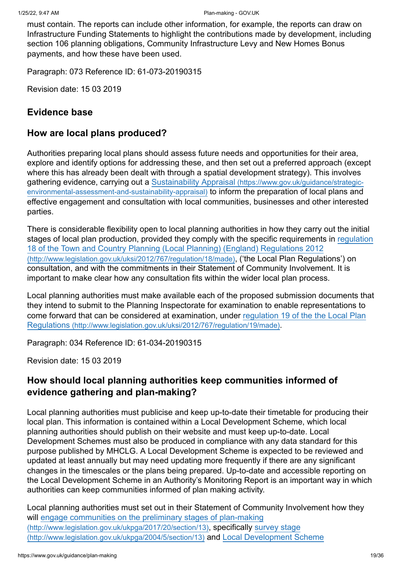must contain. The reports can include other information, for example, the reports can draw on Infrastructure Funding Statements to highlight the contributions made by development, including section 106 planning obligations, Community Infrastructure Levy and New Homes Bonus payments, and how these have been used.

Paragraph: 073 Reference ID: 61-073-20190315

Revision date: 15 03 2019

# <span id="page-18-0"></span>**Evidence base**

# **How are local plans produced?**

Authorities preparing local plans should assess future needs and opportunities for their area, explore and identify options for addressing these, and then set out a preferred approach (except where this has already been dealt with through a spatial development strategy). This involves [gathering evidence, carrying out a Sustainability Appraisal](https://www.gov.uk/guidance/strategic-environmental-assessment-and-sustainability-appraisal) (https://www.gov.uk/guidance/strategicenvironmental-assessment-and-sustainability-appraisal) to inform the preparation of local plans and effective engagement and consultation with local communities, businesses and other interested parties.

There is considerable flexibility open to local planning authorities in how they carry out the initial [stages of local plan production, provided they comply with the specific requirements in regulation](http://www.legislation.gov.uk/uksi/2012/767/regulation/18/made) 18 of the Town and Country Planning (Local Planning) (England) Regulations 2012 (http://www.legislation.gov.uk/uksi/2012/767/regulation/18/made), ('the Local Plan Regulations') on consultation, and with the commitments in their Statement of Community Involvement. It is important to make clear how any consultation fits within the wider local plan process.

Local planning authorities must make available each of the proposed submission documents that they intend to submit to the Planning Inspectorate for examination to enable representations to [come forward that can be considered at examination, under regulation 19 of the the Local Plan](http://www.legislation.gov.uk/uksi/2012/767/regulation/19/made) Regulations (http://www.legislation.gov.uk/uksi/2012/767/regulation/19/made).

Paragraph: 034 Reference ID: 61-034-20190315

Revision date: 15 03 2019

# **How should local planning authorities keep communities informed of evidence gathering and plan-making?**

Local planning authorities must publicise and keep up-to-date their timetable for producing their local plan. This information is contained within a Local Development Scheme, which local planning authorities should publish on their website and must keep up-to-date. Local Development Schemes must also be produced in compliance with any data standard for this purpose published by MHCLG. A Local Development Scheme is expected to be reviewed and updated at least annually but may need updating more frequently if there are any significant changes in the timescales or the plans being prepared. Up-to-date and accessible reporting on the Local Development Scheme in an Authority's Monitoring Report is an important way in which authorities can keep communities informed of plan making activity.

Local planning authorities must set out in their Statement of Community Involvement how they [will engage communities on the preliminary stages of plan-making](http://www.legislation.gov.uk/ukpga/2017/20/section/13) [\(http://www.legislation.gov.uk/ukpga/2017/20/section/13\)](http://www.legislation.gov.uk/ukpga/2004/5/section/13), specifically survey stage [\(http://www.legislation.gov.uk/ukpga/2004/5/section/13\)](http://www.legislation.gov.uk/ukpga/2004/5/section/15) and Local Development Scheme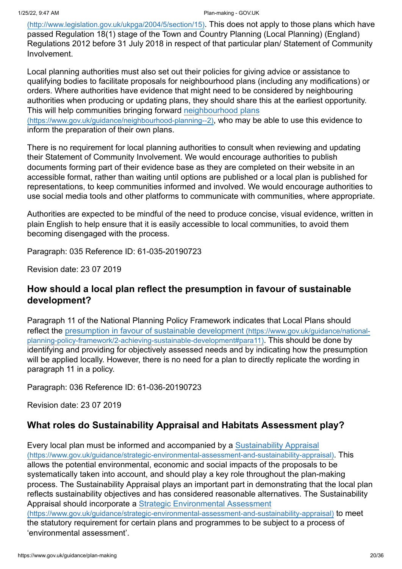[\(http://www.legislation.gov.uk/ukpga/2004/5/section/15\)](http://www.legislation.gov.uk/ukpga/2004/5/section/15). This does not apply to those plans which have passed Regulation 18(1) stage of the Town and Country Planning (Local Planning) (England) Regulations 2012 before 31 July 2018 in respect of that particular plan/ Statement of Community Involvement.

Local planning authorities must also set out their policies for giving advice or assistance to qualifying bodies to facilitate proposals for neighbourhood plans (including any modifications) or orders. Where authorities have evidence that might need to be considered by neighbouring authorities when producing or updating plans, they should share this at the earliest opportunity. [This will help communities bringing forward neighbourhood plans](https://www.gov.uk/guidance/neighbourhood-planning--2) (https://www.gov.uk/guidance/neighbourhood-planning--2), who may be able to use this evidence to inform the preparation of their own plans.

There is no requirement for local planning authorities to consult when reviewing and updating their Statement of Community Involvement. We would encourage authorities to publish documents forming part of their evidence base as they are completed on their website in an accessible format, rather than waiting until options are published or a local plan is published for representations, to keep communities informed and involved. We would encourage authorities to use social media tools and other platforms to communicate with communities, where appropriate.

Authorities are expected to be mindful of the need to produce concise, visual evidence, written in plain English to help ensure that it is easily accessible to local communities, to avoid them becoming disengaged with the process.

Paragraph: 035 Reference ID: 61-035-20190723

Revision date: 23 07 2019

# **How should a local plan reflect the presumption in favour of sustainable development?**

Paragraph 11 of the National Planning Policy Framework indicates that Local Plans should [reflect the presumption in favour of sustainable development](https://www.gov.uk/guidance/national-planning-policy-framework/2-achieving-sustainable-development#para11) (https://www.gov.uk/guidance/nationalplanning-policy-framework/2-achieving-sustainable-development#para11). This should be done by identifying and providing for objectively assessed needs and by indicating how the presumption will be applied locally. However, there is no need for a plan to directly replicate the wording in paragraph 11 in a policy.

Paragraph: 036 Reference ID: 61-036-20190723

Revision date: 23 07 2019

# **What roles do Sustainability Appraisal and Habitats Assessment play?**

[Every local plan must be informed and accompanied by a Sustainability Appraisal](https://www.gov.uk/guidance/strategic-environmental-assessment-and-sustainability-appraisal) (https://www.gov.uk/guidance/strategic-environmental-assessment-and-sustainability-appraisal). This allows the potential environmental, economic and social impacts of the proposals to be systematically taken into account, and should play a key role throughout the plan-making process. The Sustainability Appraisal plays an important part in demonstrating that the local plan reflects sustainability objectives and has considered reasonable alternatives. The Sustainability Appraisal should incorporate a Strategic Environmental Assessment [\(https://www.gov.uk/guidance/strategic-environmental-assessment-and-sustainability-appraisal\)](https://www.gov.uk/guidance/strategic-environmental-assessment-and-sustainability-appraisal) to meet the statutory requirement for certain plans and programmes to be subject to a process of 'environmental assessment'.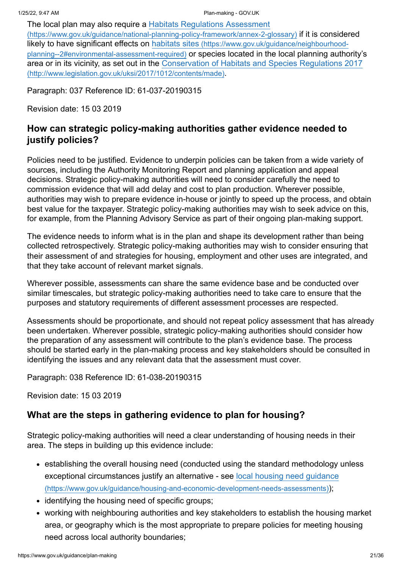The local plan may also require a Habitats Regulations Assessment [\(https://www.gov.uk/guidance/national-planning-policy-framework/annex-2-glossary\)](https://www.gov.uk/guidance/national-planning-policy-framework/annex-2-glossary) if it is considered [likely to have significant effects on habitats sites](https://www.gov.uk/guidance/neighbourhood-planning--2#environmental-assessment-required) (https://www.gov.uk/guidance/neighbourhoodplanning--2#environmental-assessment-required) or species located in the local planning authority's [area or in its vicinity, as set out in the Conservation of Habitats and Species Regulations 2017](http://www.legislation.gov.uk/uksi/2017/1012/contents/made) (http://www.legislation.gov.uk/uksi/2017/1012/contents/made).

Paragraph: 037 Reference ID: 61-037-20190315

Revision date: 15 03 2019

# **How can strategic policy-making authorities gather evidence needed to justify policies?**

Policies need to be justified. Evidence to underpin policies can be taken from a wide variety of sources, including the Authority Monitoring Report and planning application and appeal decisions. Strategic policy-making authorities will need to consider carefully the need to commission evidence that will add delay and cost to plan production. Wherever possible, authorities may wish to prepare evidence in-house or jointly to speed up the process, and obtain best value for the taxpayer. Strategic policy-making authorities may wish to seek advice on this, for example, from the Planning Advisory Service as part of their ongoing plan-making support.

The evidence needs to inform what is in the plan and shape its development rather than being collected retrospectively. Strategic policy-making authorities may wish to consider ensuring that their assessment of and strategies for housing, employment and other uses are integrated, and that they take account of relevant market signals.

Wherever possible, assessments can share the same evidence base and be conducted over similar timescales, but strategic policy-making authorities need to take care to ensure that the purposes and statutory requirements of different assessment processes are respected.

Assessments should be proportionate, and should not repeat policy assessment that has already been undertaken. Wherever possible, strategic policy-making authorities should consider how the preparation of any assessment will contribute to the plan's evidence base. The process should be started early in the plan-making process and key stakeholders should be consulted in identifying the issues and any relevant data that the assessment must cover.

Paragraph: 038 Reference ID: 61-038-20190315

Revision date: 15 03 2019

# **What are the steps in gathering evidence to plan for housing?**

Strategic policy-making authorities will need a clear understanding of housing needs in their area. The steps in building up this evidence include:

- establishing the overall housing need (conducted using the standard methodology unless [exceptional circumstances justify an alternative - see local housing need guidance](https://www.gov.uk/guidance/housing-and-economic-development-needs-assessments) (https://www.gov.uk/guidance/housing-and-economic-development-needs-assessments));
- identifying the housing need of specific groups:
- working with neighbouring authorities and key stakeholders to establish the housing market area, or geography which is the most appropriate to prepare policies for meeting housing need across local authority boundaries;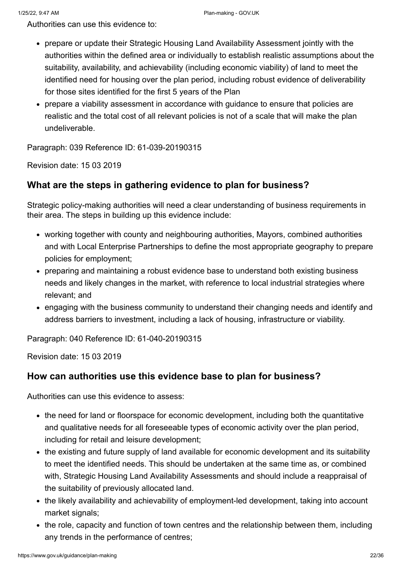Authorities can use this evidence to:

- prepare or update their Strategic Housing Land Availability Assessment jointly with the authorities within the defined area or individually to establish realistic assumptions about the suitability, availability, and achievability (including economic viability) of land to meet the identified need for housing over the plan period, including robust evidence of deliverability for those sites identified for the first 5 years of the Plan
- prepare a viability assessment in accordance with quidance to ensure that policies are realistic and the total cost of all relevant policies is not of a scale that will make the plan undeliverable.

Paragraph: 039 Reference ID: 61-039-20190315

Revision date: 15 03 2019

# **What are the steps in gathering evidence to plan for business?**

Strategic policy-making authorities will need a clear understanding of business requirements in their area. The steps in building up this evidence include:

- working together with county and neighbouring authorities, Mayors, combined authorities and with Local Enterprise Partnerships to define the most appropriate geography to prepare policies for employment;
- preparing and maintaining a robust evidence base to understand both existing business needs and likely changes in the market, with reference to local industrial strategies where relevant; and
- engaging with the business community to understand their changing needs and identify and address barriers to investment, including a lack of housing, infrastructure or viability.

Paragraph: 040 Reference ID: 61-040-20190315

Revision date: 15 03 2019

#### **How can authorities use this evidence base to plan for business?**

Authorities can use this evidence to assess:

- the need for land or floorspace for economic development, including both the quantitative and qualitative needs for all foreseeable types of economic activity over the plan period, including for retail and leisure development;
- the existing and future supply of land available for economic development and its suitability to meet the identified needs. This should be undertaken at the same time as, or combined with, Strategic Housing Land Availability Assessments and should include a reappraisal of the suitability of previously allocated land.
- the likely availability and achievability of employment-led development, taking into account market signals;
- the role, capacity and function of town centres and the relationship between them, including any trends in the performance of centres;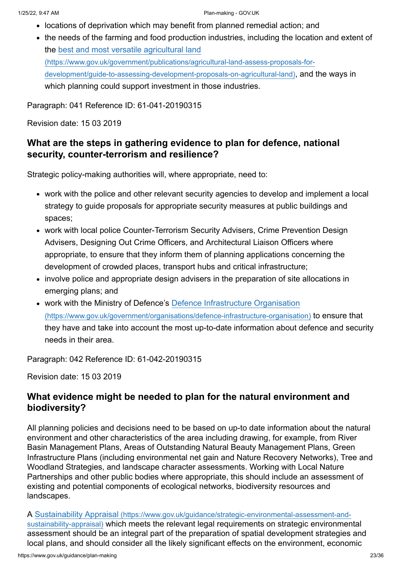- locations of deprivation which may benefit from planned remedial action; and
- the needs of the farming and food production industries, including the location and extent of the best and most versatile agricultural land [\(https://www.gov.uk/government/publications/agricultural-land-assess-proposals-for](https://www.gov.uk/government/publications/agricultural-land-assess-proposals-for-development/guide-to-assessing-development-proposals-on-agricultural-land)development/guide-to-assessing-development-proposals-on-agricultural-land), and the ways in which planning could support investment in those industries.

Paragraph: 041 Reference ID: 61-041-20190315

Revision date: 15 03 2019

# **What are the steps in gathering evidence to plan for defence, national security, counter-terrorism and resilience?**

Strategic policy-making authorities will, where appropriate, need to:

- work with the police and other relevant security agencies to develop and implement a local strategy to guide proposals for appropriate security measures at public buildings and spaces;
- work with local police Counter-Terrorism Security Advisers, Crime Prevention Design Advisers, Designing Out Crime Officers, and Architectural Liaison Officers where appropriate, to ensure that they inform them of planning applications concerning the development of crowded places, transport hubs and critical infrastructure;
- involve police and appropriate design advisers in the preparation of site allocations in emerging plans; and
- [work with the Ministry of Defence's Defence Infrastructure Organisation](https://www.gov.uk/government/organisations/defence-infrastructure-organisation) (https://www.gov.uk/government/organisations/defence-infrastructure-organisation) to ensure that they have and take into account the most up-to-date information about defence and security needs in their area.

Paragraph: 042 Reference ID: 61-042-20190315

Revision date: 15 03 2019

# **What evidence might be needed to plan for the natural environment and biodiversity?**

All planning policies and decisions need to be based on up-to date information about the natural environment and other characteristics of the area including drawing, for example, from River Basin Management Plans, Areas of Outstanding Natural Beauty Management Plans, Green Infrastructure Plans (including environmental net gain and Nature Recovery Networks), Tree and Woodland Strategies, and landscape character assessments. Working with Local Nature Partnerships and other public bodies where appropriate, this should include an assessment of existing and potential components of ecological networks, biodiversity resources and landscapes.

A Sustainability Appraisal (https://www.gov.uk/guidance/strategic-environmental-assessment-andsustainability-appraisal) [which meets the relevant legal requirements on strategic environmen](https://www.gov.uk/guidance/strategic-environmental-assessment-and-sustainability-appraisal)tal assessment should be an integral part of the preparation of spatial development strategies and local plans, and should consider all the likely significant effects on the environment, economic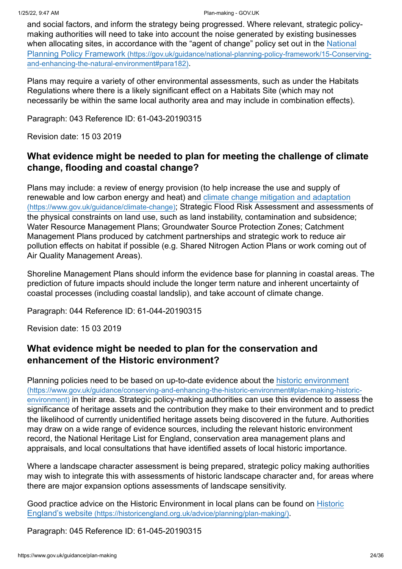and social factors, and inform the strategy being progressed. Where relevant, strategic policymaking authorities will need to take into account the noise generated by existing businesses [when allocating sites, in accordance with the "agent of change" policy set out in the National](https://gov.uk/guidance/national-planning-policy-framework/15-Conserving-and-enhancing-the-natural-environment#para182) Planning Policy Framework (https://gov.uk/guidance/national-planning-policy-framework/15-Conservingand-enhancing-the-natural-environment#para182).

Plans may require a variety of other environmental assessments, such as under the Habitats Regulations where there is a likely significant effect on a Habitats Site (which may not necessarily be within the same local authority area and may include in combination effects).

Paragraph: 043 Reference ID: 61-043-20190315

Revision date: 15 03 2019

# **What evidence might be needed to plan for meeting the challenge of climate change, flooding and coastal change?**

Plans may include: a review of energy provision (to help increase the use and supply of [renewable and low carbon energy and heat\) and climate change mitigation and adaptation](https://www.gov.uk/guidance/climate-change) (https://www.gov.uk/guidance/climate-change); Strategic Flood Risk Assessment and assessments of the physical constraints on land use, such as land instability, contamination and subsidence; Water Resource Management Plans; Groundwater Source Protection Zones; Catchment Management Plans produced by catchment partnerships and strategic work to reduce air pollution effects on habitat if possible (e.g. Shared Nitrogen Action Plans or work coming out of Air Quality Management Areas).

Shoreline Management Plans should inform the evidence base for planning in coastal areas. The prediction of future impacts should include the longer term nature and inherent uncertainty of coastal processes (including coastal landslip), and take account of climate change.

Paragraph: 044 Reference ID: 61-044-20190315

Revision date: 15 03 2019

# **What evidence might be needed to plan for the conservation and enhancement of the Historic environment?**

[Planning policies need to be based on up-to-date evidence about the historic environment](https://www.gov.uk/guidance/conserving-and-enhancing-the-historic-environment#plan-making-historic-environment) (https://www.gov.uk/guidance/conserving-and-enhancing-the-historic-environment#plan-making-historicenvironment) in their area. Strategic policy-making authorities can use this evidence to assess the significance of heritage assets and the contribution they make to their environment and to predict the likelihood of currently unidentified heritage assets being discovered in the future. Authorities may draw on a wide range of evidence sources, including the relevant historic environment record, the National Heritage List for England, conservation area management plans and appraisals, and local consultations that have identified assets of local historic importance.

Where a landscape character assessment is being prepared, strategic policy making authorities may wish to integrate this with assessments of historic landscape character and, for areas where there are major expansion options assessments of landscape sensitivity.

[Good practice advice on the Historic Environment in local plans can be found on Historic](https://historicengland.org.uk/advice/planning/plan-making/) England's website (https://historicengland.org.uk/advice/planning/plan-making/).

Paragraph: 045 Reference ID: 61-045-20190315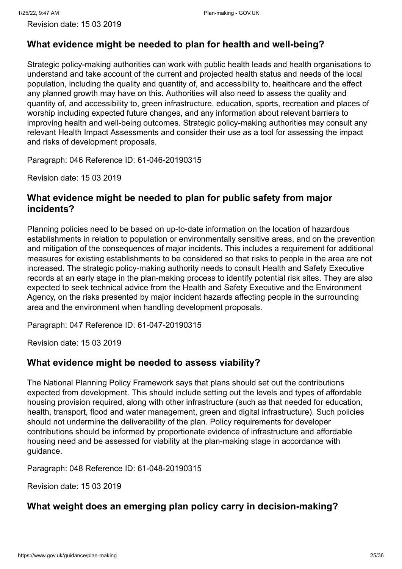Revision date: 15 03 2019

# **What evidence might be needed to plan for health and well-being?**

Strategic policy-making authorities can work with public health leads and health organisations to understand and take account of the current and projected health status and needs of the local population, including the quality and quantity of, and accessibility to, healthcare and the effect any planned growth may have on this. Authorities will also need to assess the quality and quantity of, and accessibility to, green infrastructure, education, sports, recreation and places of worship including expected future changes, and any information about relevant barriers to improving health and well-being outcomes. Strategic policy-making authorities may consult any relevant Health Impact Assessments and consider their use as a tool for assessing the impact and risks of development proposals.

Paragraph: 046 Reference ID: 61-046-20190315

Revision date: 15 03 2019

# **What evidence might be needed to plan for public safety from major incidents?**

Planning policies need to be based on up-to-date information on the location of hazardous establishments in relation to population or environmentally sensitive areas, and on the prevention and mitigation of the consequences of major incidents. This includes a requirement for additional measures for existing establishments to be considered so that risks to people in the area are not increased. The strategic policy-making authority needs to consult Health and Safety Executive records at an early stage in the plan-making process to identify potential risk sites. They are also expected to seek technical advice from the Health and Safety Executive and the Environment Agency, on the risks presented by major incident hazards affecting people in the surrounding area and the environment when handling development proposals.

Paragraph: 047 Reference ID: 61-047-20190315

Revision date: 15 03 2019

# **What evidence might be needed to assess viability?**

The National Planning Policy Framework says that plans should set out the contributions expected from development. This should include setting out the levels and types of affordable housing provision required, along with other infrastructure (such as that needed for education, health, transport, flood and water management, green and digital infrastructure). Such policies should not undermine the deliverability of the plan. Policy requirements for developer contributions should be informed by proportionate evidence of infrastructure and affordable housing need and be assessed for viability at the plan-making stage in accordance with guidance.

Paragraph: 048 Reference ID: 61-048-20190315

Revision date: 15 03 2019

# **What weight does an emerging plan policy carry in decision-making?**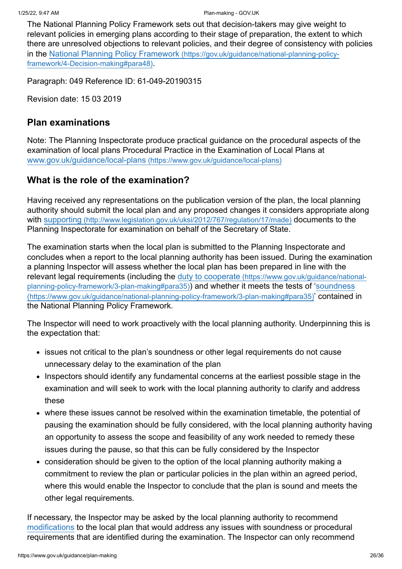The National Planning Policy Framework sets out that decision-takers may give weight to relevant policies in emerging plans according to their stage of preparation, the extent to which there are unresolved objections to relevant policies, and their degree of consistency with policies [in the National Planning Policy Framework](https://gov.uk/guidance/national-planning-policy-framework/4-Decision-making#para48) (https://gov.uk/guidance/national-planning-policyframework/4-Decision-making#para48).

Paragraph: 049 Reference ID: 61-049-20190315

Revision date: 15 03 2019

#### <span id="page-25-0"></span>**Plan examinations**

Note: The Planning Inspectorate produce practical guidance on the procedural aspects of the examination of local plans Procedural Practice in the Examination of Local Plans at www.gov.uk/guidance/local-plans [\(https://www.gov.uk/guidance/local-plans\)](https://www.gov.uk/guidance/local-plans)

# **What is the role of the examination?**

Having received any representations on the publication version of the plan, the local planning authority should submit the local plan and any proposed changes it considers appropriate along with supporting [\(http://www.legislation.gov.uk/uksi/2012/767/regulation/17/made\)](http://www.legislation.gov.uk/uksi/2012/767/regulation/17/made) documents to the Planning Inspectorate for examination on behalf of the Secretary of State.

The examination starts when the local plan is submitted to the Planning Inspectorate and concludes when a report to the local planning authority has been issued. During the examination a planning Inspector will assess whether the local plan has been prepared in line with the [relevant legal requirements \(including the duty to cooperate](https://www.gov.uk/guidance/national-planning-policy-framework/3-plan-making#para35) (https://www.gov.uk/guidance/nationalplanning-policy-framework/3-plan-making#para35)) and whether it meets the tests of 'soundness [\(https://www.gov.uk/guidance/national-planning-policy-framework/3-plan-making#para35\)](https://www.gov.uk/guidance/national-planning-policy-framework/3-plan-making#para35)' contained in the National Planning Policy Framework.

The Inspector will need to work proactively with the local planning authority. Underpinning this is the expectation that:

- issues not critical to the plan's soundness or other legal requirements do not cause unnecessary delay to the examination of the plan
- Inspectors should identify any fundamental concerns at the earliest possible stage in the examination and will seek to work with the local planning authority to clarify and address these
- where these issues cannot be resolved within the examination timetable, the potential of pausing the examination should be fully considered, with the local planning authority having an opportunity to assess the scope and feasibility of any work needed to remedy these issues during the pause, so that this can be fully considered by the Inspector
- consideration should be given to the option of the local planning authority making a commitment to review the plan or particular policies in the plan within an agreed period, where this would enable the Inspector to conclude that the plan is sound and meets the other legal requirements.

If necessary, the Inspector may be asked by the local planning authority to recommend [modifications](#page-28-0) to the local plan that would address any issues with soundness or procedural requirements that are identified during the examination. The Inspector can only recommend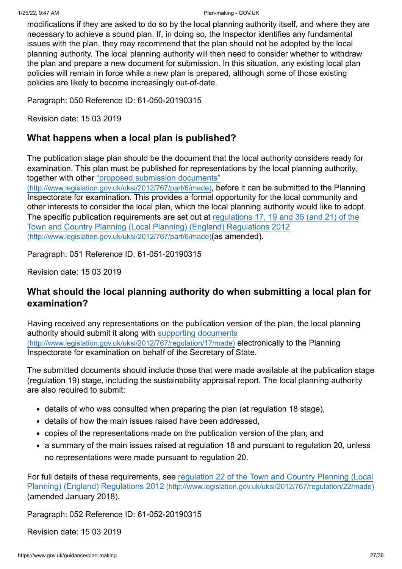modifications if they are asked to do so by the local planning authority itself, and where they are necessary to achieve a sound plan. If, in doing so, the Inspector identifies any fundamental issues with the plan, they may recommend that the plan should not be adopted by the local planning authority. The local planning authority will then need to consider whether to withdraw the plan and prepare a new document for submission. In this situation, any existing local plan policies will remain in force while a new plan is prepared, although some of those existing policies are likely to become increasingly out-of-date.

Paragraph: 050 Reference ID: 61-050-20190315

Revision date: 15 03 2019

# **What happens when a local plan is published?**

The publication stage plan should be the document that the local authority considers ready for examination. This plan must be published for representations by the local planning authority, [together with other "proposed submission documents"](http://www.legislation.gov.uk/uksi/2012/767/part/6/made)

(http://www.legislation.gov.uk/uksi/2012/767/part/6/made), before it can be submitted to the Planning Inspectorate for examination. This provides a formal opportunity for the local community and other interests to consider the local plan, which the local planning authority would like to adopt. [The specific publication requirements are set out at regulations 17, 19 and 35 \(and 21\) of the](http://www.legislation.gov.uk/uksi/2012/767/part/6/made) Town and Country Planning (Local Planning) (England) Regulations 2012 (http://www.legislation.gov.uk/uksi/2012/767/part/6/made)(as amended).

Paragraph: 051 Reference ID: 61-051-20190315

Revision date: 15 03 2019

# **What should the local planning authority do when submitting a local plan for examination?**

Having received any representations on the publication version of the plan, the local planning [authority should submit it along with supporting documents](http://www.legislation.gov.uk/uksi/2012/767/regulation/17/made) (http://www.legislation.gov.uk/uksi/2012/767/regulation/17/made) electronically to the Planning Inspectorate for examination on behalf of the Secretary of State.

The submitted documents should include those that were made available at the publication stage (regulation 19) stage, including the sustainability appraisal report. The local planning authority are also required to submit:

- details of who was consulted when preparing the plan (at regulation 18 stage),
- details of how the main issues raised have been addressed,
- copies of the representations made on the publication version of the plan; and
- a summary of the main issues raised at regulation 18 and pursuant to regulation 20, unless no representations were made pursuant to regulation 20.

[For full details of these requirements, see regulation 22 of the Town and Country Planning \(Local](http://www.legislation.gov.uk/uksi/2012/767/regulation/22/made) Planning) (England) Regulations 2012 (http://www.legislation.gov.uk/uksi/2012/767/regulation/22/made) (amended January 2018).

Paragraph: 052 Reference ID: 61-052-20190315

Revision date: 15 03 2019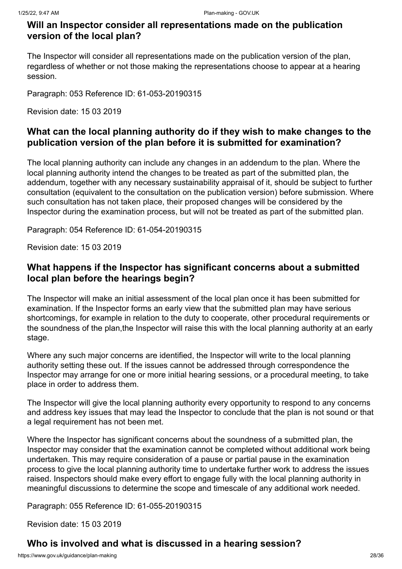# **Will an Inspector consider all representations made on the publication version of the local plan?**

The Inspector will consider all representations made on the publication version of the plan, regardless of whether or not those making the representations choose to appear at a hearing session.

Paragraph: 053 Reference ID: 61-053-20190315

Revision date: 15 03 2019

# **What can the local planning authority do if they wish to make changes to the publication version of the plan before it is submitted for examination?**

The local planning authority can include any changes in an addendum to the plan. Where the local planning authority intend the changes to be treated as part of the submitted plan, the addendum, together with any necessary sustainability appraisal of it, should be subject to further consultation (equivalent to the consultation on the publication version) before submission. Where such consultation has not taken place, their proposed changes will be considered by the Inspector during the examination process, but will not be treated as part of the submitted plan.

Paragraph: 054 Reference ID: 61-054-20190315

Revision date: 15 03 2019

# **What happens if the Inspector has significant concerns about a submitted local plan before the hearings begin?**

The Inspector will make an initial assessment of the local plan once it has been submitted for examination. If the Inspector forms an early view that the submitted plan may have serious shortcomings, for example in relation to the duty to cooperate, other procedural requirements or the soundness of the plan,the Inspector will raise this with the local planning authority at an early stage.

Where any such major concerns are identified, the Inspector will write to the local planning authority setting these out. If the issues cannot be addressed through correspondence the Inspector may arrange for one or more initial hearing sessions, or a procedural meeting, to take place in order to address them.

The Inspector will give the local planning authority every opportunity to respond to any concerns and address key issues that may lead the Inspector to conclude that the plan is not sound or that a legal requirement has not been met.

Where the Inspector has significant concerns about the soundness of a submitted plan, the Inspector may consider that the examination cannot be completed without additional work being undertaken. This may require consideration of a pause or partial pause in the examination process to give the local planning authority time to undertake further work to address the issues raised. Inspectors should make every effort to engage fully with the local planning authority in meaningful discussions to determine the scope and timescale of any additional work needed.

Paragraph: 055 Reference ID: 61-055-20190315

Revision date: 15 03 2019

# **Who is involved and what is discussed in a hearing session?**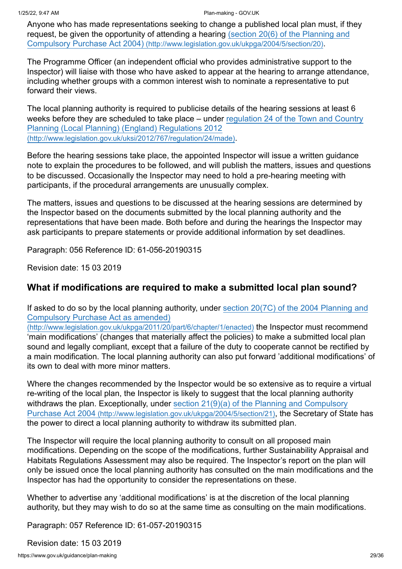Anyone who has made representations seeking to change a published local plan must, if they [request, be given the opportunity of attending a hearing \(section 20\(6\) of the Planning and](http://www.legislation.gov.uk/ukpga/2004/5/section/20) Compulsory Purchase Act 2004) (http://www.legislation.gov.uk/ukpga/2004/5/section/20).

The Programme Officer (an independent official who provides administrative support to the Inspector) will liaise with those who have asked to appear at the hearing to arrange attendance, including whether groups with a common interest wish to nominate a representative to put forward their views.

The local planning authority is required to publicise details of the hearing sessions at least 6 [weeks before they are scheduled to take place – under regulation 24 of the Town and Country](http://www.legislation.gov.uk/uksi/2012/767/regulation/24/made) Planning (Local Planning) (England) Regulations 2012 (http://www.legislation.gov.uk/uksi/2012/767/regulation/24/made).

Before the hearing sessions take place, the appointed Inspector will issue a written guidance note to explain the procedures to be followed, and will publish the matters, issues and questions to be discussed. Occasionally the Inspector may need to hold a pre-hearing meeting with participants, if the procedural arrangements are unusually complex.

The matters, issues and questions to be discussed at the hearing sessions are determined by the Inspector based on the documents submitted by the local planning authority and the representations that have been made. Both before and during the hearings the Inspector may ask participants to prepare statements or provide additional information by set deadlines.

Paragraph: 056 Reference ID: 61-056-20190315

Revision date: 15 03 2019

# <span id="page-28-0"></span>**What if modifications are required to make a submitted local plan sound?**

[If asked to do so by the local planning authority, under section 20\(7C\) of the 2004 Planning and](http://www.legislation.gov.uk/ukpga/2011/20/part/6/chapter/1/enacted) Compulsory Purchase Act as amended)

(http://www.legislation.gov.uk/ukpga/2011/20/part/6/chapter/1/enacted) the Inspector must recommend 'main modifications' (changes that materially affect the policies) to make a submitted local plan sound and legally compliant, except that a failure of the duty to cooperate cannot be rectified by a main modification. The local planning authority can also put forward 'additional modifications' of its own to deal with more minor matters.

Where the changes recommended by the Inspector would be so extensive as to require a virtual re-writing of the local plan, the Inspector is likely to suggest that the local planning authority [withdraws the plan. Exceptionally, under section 21\(9\)\(a\) of the Planning and Compulsory](http://www.legislation.gov.uk/ukpga/2004/5/section/21) Purchase Act 2004 (http://www.legislation.gov.uk/ukpga/2004/5/section/21), the Secretary of State has the power to direct a local planning authority to withdraw its submitted plan.

The Inspector will require the local planning authority to consult on all proposed main modifications. Depending on the scope of the modifications, further Sustainability Appraisal and Habitats Regulations Assessment may also be required. The Inspector's report on the plan will only be issued once the local planning authority has consulted on the main modifications and the Inspector has had the opportunity to consider the representations on these.

Whether to advertise any 'additional modifications' is at the discretion of the local planning authority, but they may wish to do so at the same time as consulting on the main modifications.

Paragraph: 057 Reference ID: 61-057-20190315

Revision date: 15 03 2019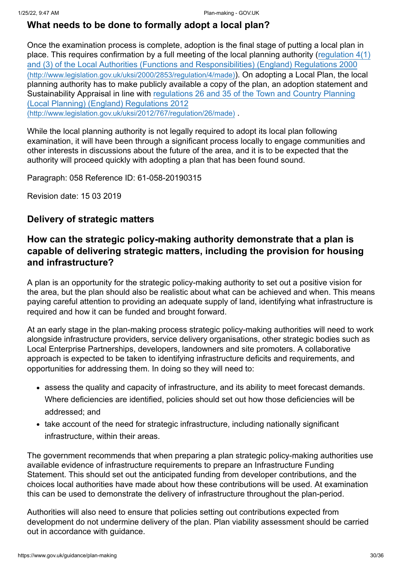# **What needs to be done to formally adopt a local plan?**

Once the examination process is complete, adoption is the final stage of putting a local plan in [place. This requires confirmation by a full meeting of the local planning authority \(regulation 4\(1\)](http://www.legislation.gov.uk/uksi/2000/2853/regulation/4/made) and (3) of the Local Authorities (Functions and Responsibilities) (England) Regulations 2000 (http://www.legislation.gov.uk/uksi/2000/2853/regulation/4/made)). On adopting a Local Plan, the local planning authority has to make publicly available a copy of the plan, an adoption statement and [Sustainability Appraisal in line with regulations 26 and 35 of the Town and Country Planning](http://www.legislation.gov.uk/uksi/2012/767/regulation/26/made) (Local Planning) (England) Regulations 2012 (http://www.legislation.gov.uk/uksi/2012/767/regulation/26/made) .

While the local planning authority is not legally required to adopt its local plan following examination, it will have been through a significant process locally to engage communities and other interests in discussions about the future of the area, and it is to be expected that the authority will proceed quickly with adopting a plan that has been found sound.

Paragraph: 058 Reference ID: 61-058-20190315

Revision date: 15 03 2019

# <span id="page-29-0"></span>**Delivery of strategic matters**

# **How can the strategic policy-making authority demonstrate that a plan is capable of delivering strategic matters, including the provision for housing and infrastructure?**

A plan is an opportunity for the strategic policy-making authority to set out a positive vision for the area, but the plan should also be realistic about what can be achieved and when. This means paying careful attention to providing an adequate supply of land, identifying what infrastructure is required and how it can be funded and brought forward.

At an early stage in the plan-making process strategic policy-making authorities will need to work alongside infrastructure providers, service delivery organisations, other strategic bodies such as Local Enterprise Partnerships, developers, landowners and site promoters. A collaborative approach is expected to be taken to identifying infrastructure deficits and requirements, and opportunities for addressing them. In doing so they will need to:

- assess the quality and capacity of infrastructure, and its ability to meet forecast demands. Where deficiencies are identified, policies should set out how those deficiencies will be addressed; and
- take account of the need for strategic infrastructure, including nationally significant infrastructure, within their areas.

The government recommends that when preparing a plan strategic policy-making authorities use available evidence of infrastructure requirements to prepare an Infrastructure Funding Statement. This should set out the anticipated funding from developer contributions, and the choices local authorities have made about how these contributions will be used. At examination this can be used to demonstrate the delivery of infrastructure throughout the plan-period.

Authorities will also need to ensure that policies setting out contributions expected from development do not undermine delivery of the plan. Plan viability assessment should be carried out in accordance with guidance.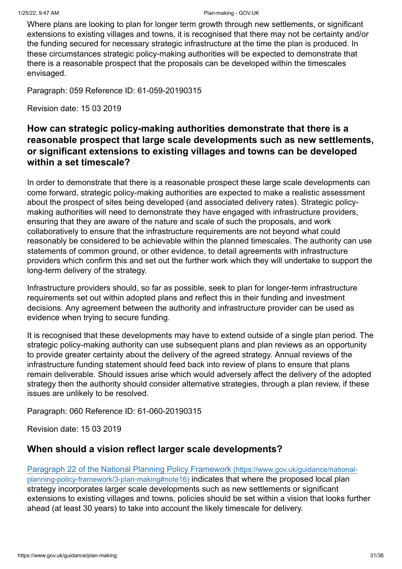Where plans are looking to plan for longer term growth through new settlements, or significant extensions to existing villages and towns, it is recognised that there may not be certainty and/or the funding secured for necessary strategic infrastructure at the time the plan is produced. In these circumstances strategic policy-making authorities will be expected to demonstrate that there is a reasonable prospect that the proposals can be developed within the timescales envisaged.

Paragraph: 059 Reference ID: 61-059-20190315

Revision date: 15 03 2019

# **How can strategic policy-making authorities demonstrate that there is a reasonable prospect that large scale developments such as new settlements, or significant extensions to existing villages and towns can be developed within a set timescale?**

In order to demonstrate that there is a reasonable prospect these large scale developments can come forward, strategic policy-making authorities are expected to make a realistic assessment about the prospect of sites being developed (and associated delivery rates). Strategic policymaking authorities will need to demonstrate they have engaged with infrastructure providers, ensuring that they are aware of the nature and scale of such the proposals, and work collaboratively to ensure that the infrastructure requirements are not beyond what could reasonably be considered to be achievable within the planned timescales. The authority can use statements of common ground, or other evidence, to detail agreements with infrastructure providers which confirm this and set out the further work which they will undertake to support the long-term delivery of the strategy.

Infrastructure providers should, so far as possible, seek to plan for longer-term infrastructure requirements set out within adopted plans and reflect this in their funding and investment decisions. Any agreement between the authority and infrastructure provider can be used as evidence when trying to secure funding.

It is recognised that these developments may have to extend outside of a single plan period. The strategic policy-making authority can use subsequent plans and plan reviews as an opportunity to provide greater certainty about the delivery of the agreed strategy. Annual reviews of the infrastructure funding statement should feed back into review of plans to ensure that plans remain deliverable. Should issues arise which would adversely affect the delivery of the adopted strategy then the authority should consider alternative strategies, through a plan review, if these issues are unlikely to be resolved.

Paragraph: 060 Reference ID: 61-060-20190315

Revision date: 15 03 2019

#### **When should a vision reflect larger scale developments?**

[Paragraph 22 of the National Planning Policy Framework](https://www.gov.uk/guidance/national-planning-policy-framework/3-plan-making#note16) (https://www.gov.uk/guidance/nationalplanning-policy-framework/3-plan-making#note16) indicates that where the proposed local plan strategy incorporates larger scale developments such as new settlements or significant extensions to existing villages and towns, policies should be set within a vision that looks further ahead (at least 30 years) to take into account the likely timescale for delivery.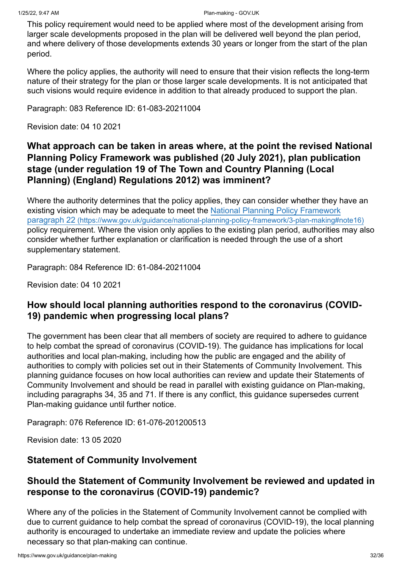This policy requirement would need to be applied where most of the development arising from larger scale developments proposed in the plan will be delivered well beyond the plan period, and where delivery of those developments extends 30 years or longer from the start of the plan period.

Where the policy applies, the authority will need to ensure that their vision reflects the long-term nature of their strategy for the plan or those larger scale developments. It is not anticipated that such visions would require evidence in addition to that already produced to support the plan.

Paragraph: 083 Reference ID: 61-083-20211004

Revision date: 04 10 2021

# **What approach can be taken in areas where, at the point the revised National Planning Policy Framework was published (20 July 2021), plan publication stage (under regulation 19 of The Town and Country Planning (Local Planning) (England) Regulations 2012) was imminent?**

Where the authority determines that the policy applies, they can consider whether they have an [existing vision which may be adequate to meet the National Planning Policy Framework](https://www.gov.uk/guidance/national-planning-policy-framework/3-plan-making#note16) paragraph 22 (https://www.gov.uk/guidance/national-planning-policy-framework/3-plan-making#note16) policy requirement. Where the vision only applies to the existing plan period, authorities may also consider whether further explanation or clarification is needed through the use of a short supplementary statement.

Paragraph: 084 Reference ID: 61-084-20211004

Revision date: 04 10 2021

# <span id="page-31-0"></span>**How should local planning authorities respond to the coronavirus (COVID-19) pandemic when progressing local plans?**

The government has been clear that all members of society are required to adhere to guidance to help combat the spread of coronavirus (COVID-19). The guidance has implications for local authorities and local plan-making, including how the public are engaged and the ability of authorities to comply with policies set out in their Statements of Community Involvement. This planning guidance focuses on how local authorities can review and update their Statements of Community Involvement and should be read in parallel with existing guidance on Plan-making, including paragraphs 34, 35 and 71. If there is any conflict, this guidance supersedes current Plan-making guidance until further notice.

Paragraph: 076 Reference ID: 61-076-201200513

Revision date: 13 05 2020

#### **Statement of Community Involvement**

# **Should the Statement of Community Involvement be reviewed and updated in response to the coronavirus (COVID-19) pandemic?**

Where any of the policies in the Statement of Community Involvement cannot be complied with due to current guidance to help combat the spread of coronavirus (COVID-19), the local planning authority is encouraged to undertake an immediate review and update the policies where necessary so that plan-making can continue.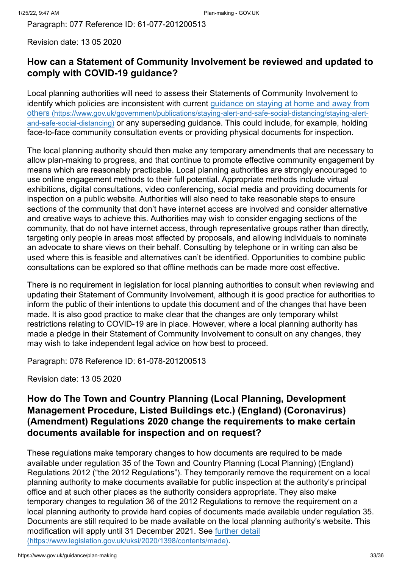Paragraph: 077 Reference ID: 61-077-201200513

Revision date: 13 05 2020

# **How can a Statement of Community Involvement be reviewed and updated to comply with COVID-19 guidance?**

Local planning authorities will need to assess their Statements of Community Involvement to [identify which policies are inconsistent with current guidance on staying at home and away from](https://www.gov.uk/government/publications/staying-alert-and-safe-social-distancing/staying-alert-and-safe-social-distancing) others (https://www.gov.uk/government/publications/staying-alert-and-safe-social-distancing/staying-alertand-safe-social-distancing) or any superseding guidance. This could include, for example, holding face-to-face community consultation events or providing physical documents for inspection.

The local planning authority should then make any temporary amendments that are necessary to allow plan-making to progress, and that continue to promote effective community engagement by means which are reasonably practicable. Local planning authorities are strongly encouraged to use online engagement methods to their full potential. Appropriate methods include virtual exhibitions, digital consultations, video conferencing, social media and providing documents for inspection on a public website. Authorities will also need to take reasonable steps to ensure sections of the community that don't have internet access are involved and consider alternative and creative ways to achieve this. Authorities may wish to consider engaging sections of the community, that do not have internet access, through representative groups rather than directly, targeting only people in areas most affected by proposals, and allowing individuals to nominate an advocate to share views on their behalf. Consulting by telephone or in writing can also be used where this is feasible and alternatives can't be identified. Opportunities to combine public consultations can be explored so that offline methods can be made more cost effective.

There is no requirement in legislation for local planning authorities to consult when reviewing and updating their Statement of Community Involvement, although it is good practice for authorities to inform the public of their intentions to update this document and of the changes that have been made. It is also good practice to make clear that the changes are only temporary whilst restrictions relating to COVID-19 are in place. However, where a local planning authority has made a pledge in their Statement of Community Involvement to consult on any changes, they may wish to take independent legal advice on how best to proceed.

Paragraph: 078 Reference ID: 61-078-201200513

Revision date: 13 05 2020

# **How do The Town and Country Planning (Local Planning, Development Management Procedure, Listed Buildings etc.) (England) (Coronavirus) (Amendment) Regulations 2020 change the requirements to make certain documents available for inspection and on request?**

These regulations make temporary changes to how documents are required to be made available under regulation 35 of the Town and Country Planning (Local Planning) (England) Regulations 2012 ("the 2012 Regulations"). They temporarily remove the requirement on a local planning authority to make documents available for public inspection at the authority's principal office and at such other places as the authority considers appropriate. They also make temporary changes to regulation 36 of the 2012 Regulations to remove the requirement on a local planning authority to provide hard copies of documents made available under regulation 35. Documents are still required to be made available on the local planning authority's website. This [modification will apply until 31 December 2021. See further detail](https://www.legislation.gov.uk/uksi/2020/1398/contents/made) (https://www.legislation.gov.uk/uksi/2020/1398/contents/made).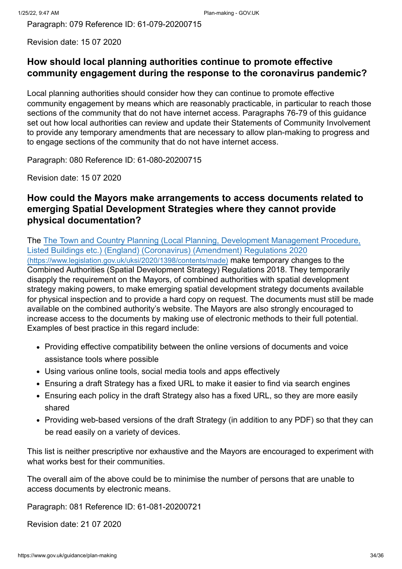Paragraph: 079 Reference ID: 61-079-20200715

Revision date: 15 07 2020

#### **How should local planning authorities continue to promote effective community engagement during the response to the coronavirus pandemic?**

Local planning authorities should consider how they can continue to promote effective community engagement by means which are reasonably practicable, in particular to reach those sections of the community that do not have internet access. Paragraphs 76-79 of this guidance set out how local authorities can review and update their Statements of Community Involvement to provide any temporary amendments that are necessary to allow plan-making to progress and to engage sections of the community that do not have internet access.

Paragraph: 080 Reference ID: 61-080-20200715

Revision date: 15 07 2020

# **How could the Mayors make arrangements to access documents related to emerging Spatial Development Strategies where they cannot provide physical documentation?**

[The The Town and Country Planning \(Local Planning, Development Management Procedure,](https://www.legislation.gov.uk/uksi/2020/1398/contents/made) Listed Buildings etc.) (England) (Coronavirus) (Amendment) Regulations 2020 (https://www.legislation.gov.uk/uksi/2020/1398/contents/made) make temporary changes to the Combined Authorities (Spatial Development Strategy) Regulations 2018. They temporarily disapply the requirement on the Mayors, of combined authorities with spatial development strategy making powers, to make emerging spatial development strategy documents available for physical inspection and to provide a hard copy on request. The documents must still be made available on the combined authority's website. The Mayors are also strongly encouraged to increase access to the documents by making use of electronic methods to their full potential. Examples of best practice in this regard include:

- Providing effective compatibility between the online versions of documents and voice assistance tools where possible
- Using various online tools, social media tools and apps effectively
- Ensuring a draft Strategy has a fixed URL to make it easier to find via search engines
- Ensuring each policy in the draft Strategy also has a fixed URL, so they are more easily shared
- Providing web-based versions of the draft Strategy (in addition to any PDF) so that they can be read easily on a variety of devices.

This list is neither prescriptive nor exhaustive and the Mayors are encouraged to experiment with what works best for their communities.

The overall aim of the above could be to minimise the number of persons that are unable to access documents by electronic means.

Paragraph: 081 Reference ID: 61-081-20200721

Revision date: 21 07 2020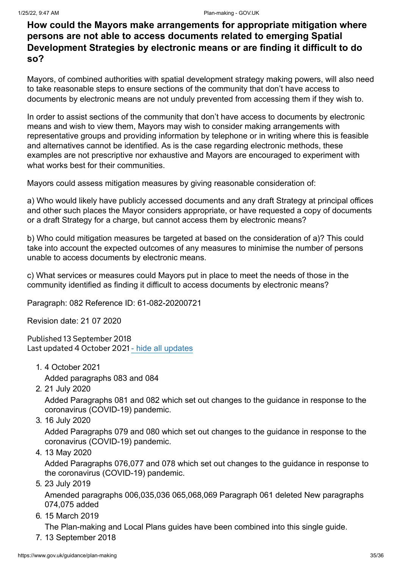# **How could the Mayors make arrangements for appropriate mitigation where persons are not able to access documents related to emerging Spatial Development Strategies by electronic means or are finding it difficult to do so?**

Mayors, of combined authorities with spatial development strategy making powers, will also need to take reasonable steps to ensure sections of the community that don't have access to documents by electronic means are not unduly prevented from accessing them if they wish to.

In order to assist sections of the community that don't have access to documents by electronic means and wish to view them, Mayors may wish to consider making arrangements with representative groups and providing information by telephone or in writing where this is feasible and alternatives cannot be identified. As is the case regarding electronic methods, these examples are not prescriptive nor exhaustive and Mayors are encouraged to experiment with what works best for their communities.

Mayors could assess mitigation measures by giving reasonable consideration of:

a) Who would likely have publicly accessed documents and any draft Strategy at principal offices and other such places the Mayor considers appropriate, or have requested a copy of documents or a draft Strategy for a charge, but cannot access them by electronic means?

b) Who could mitigation measures be targeted at based on the consideration of a)? This could take into account the expected outcomes of any measures to minimise the number of persons unable to access documents by electronic means.

c) What services or measures could Mayors put in place to meet the needs of those in the community identified as finding it difficult to access documents by electronic means?

Paragraph: 082 Reference ID: 61-082-20200721

Revision date: 21 07 2020

Published 13 September 2018 Last updated 4 October 2021 - [hide all updates](#page-34-0)

- <span id="page-34-0"></span>1. 4 October 2021
	- Added paragraphs 083 and 084
- 2. 21 July 2020

Added Paragraphs 081 and 082 which set out changes to the guidance in response to the coronavirus (COVID-19) pandemic.

3. 16 July 2020

Added Paragraphs 079 and 080 which set out changes to the guidance in response to the coronavirus (COVID-19) pandemic.

4. 13 May 2020

Added Paragraphs 076,077 and 078 which set out changes to the guidance in response to the coronavirus (COVID-19) pandemic.

5. 23 July 2019

Amended paragraphs 006,035,036 065,068,069 Paragraph 061 deleted New paragraphs 074,075 added

6. 15 March 2019

The Plan-making and Local Plans guides have been combined into this single guide.

7. 13 September 2018